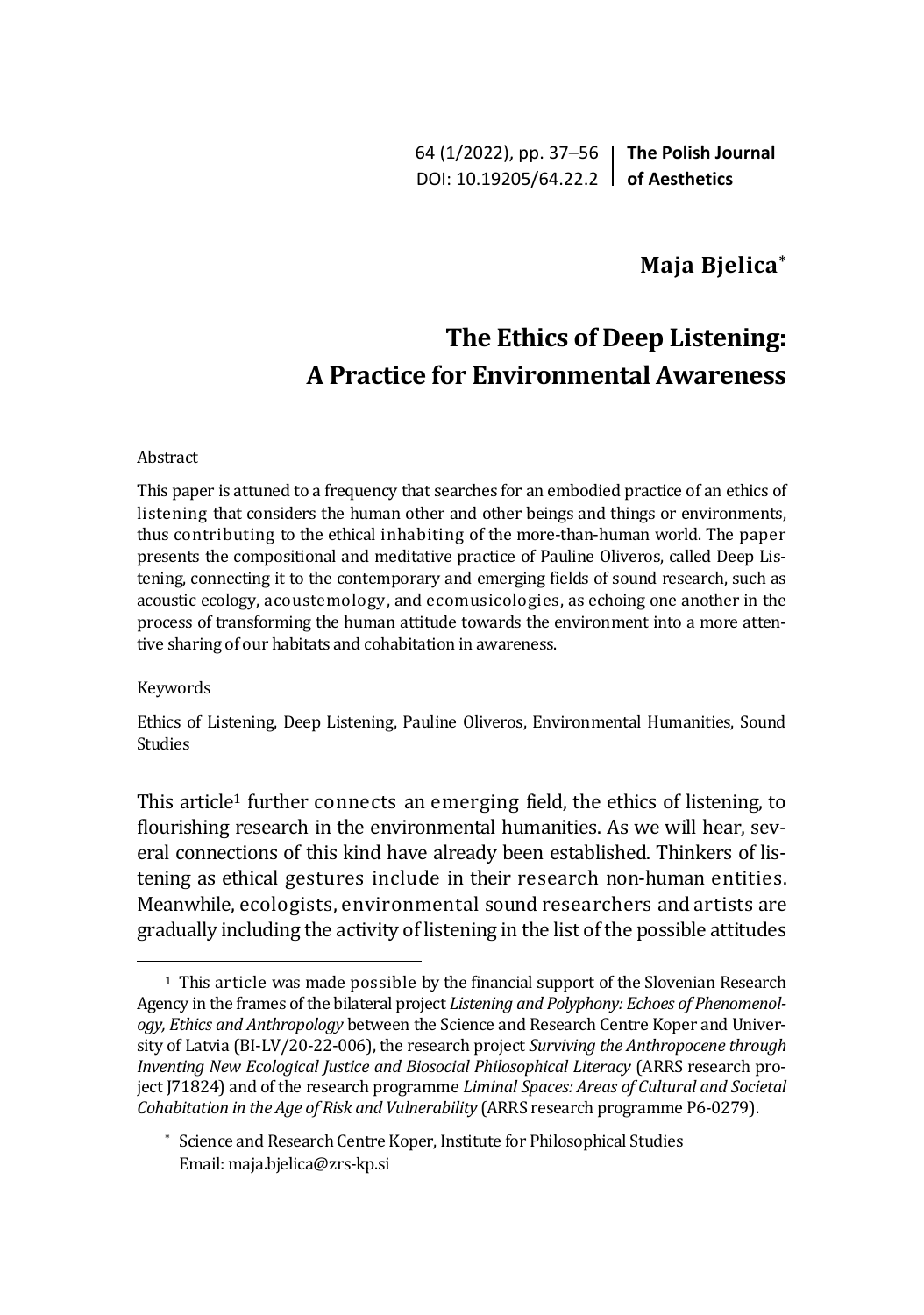64 (1/2022), pp. 37–56 **The Polish Journal** DOI: 10.19205/64.22.2 **of Aesthetics**

## **Maja Bjelica\***

# **The Ethics of Deep Listening: A Practice for Environmental Awareness**

#### Abstract

This paper is attuned to a frequency that searches for an embodied practice of an ethics of listening that considers the human other and other beings and things or environments, thus contributing to the ethical inhabiting of the more-than-human world. The paper presents the compositional and meditative practice of Pauline Oliveros, called Deep Listening, connecting it to the contemporary and emerging fields of sound research, such as acoustic ecology, acoustemology, and ecomusicologies, as echoing one another in the process of transforming the human attitude towards the environment into a more attentive sharing of our habitats and cohabitation in awareness.

#### Keywords

Ethics of Listening, Deep Listening, Pauline Oliveros, Environmental Humanities, Sound Studies

This article<sup>1</sup> further connects an emerging field, the ethics of listening, to flourishing research in the environmental humanities. As we will hear, several connections of this kind have already been established. Thinkers of listening as ethical gestures include in their research non-human entities. Meanwhile, ecologists, environmental sound researchers and artists are gradually including the activity of listening in the list of the possible attitudes

<sup>&</sup>lt;sup>1</sup> This article was made possible by the financial support of the Slovenian Research Agency in the frames of the bilateral project *Listening and Polyphony: Echoes of Phenomenology, Ethics and Anthropology* between the Science and Research Centre Koper and University of Latvia (BI-LV/20-22-006), the research project *Surviving the Anthropocene through Inventing New Ecological Justice and Biosocial Philosophical Literacy* (ARRS research project J71824) and of the research programme *Liminal Spaces: Areas of Cultural and Societal Cohabitation in the Age of Risk and Vulnerability* (ARRS research programme P6-0279).

<sup>\*</sup> Science and Research Centre Koper, Institute for Philosophical Studies Email: maja.bjelica@zrs-kp.si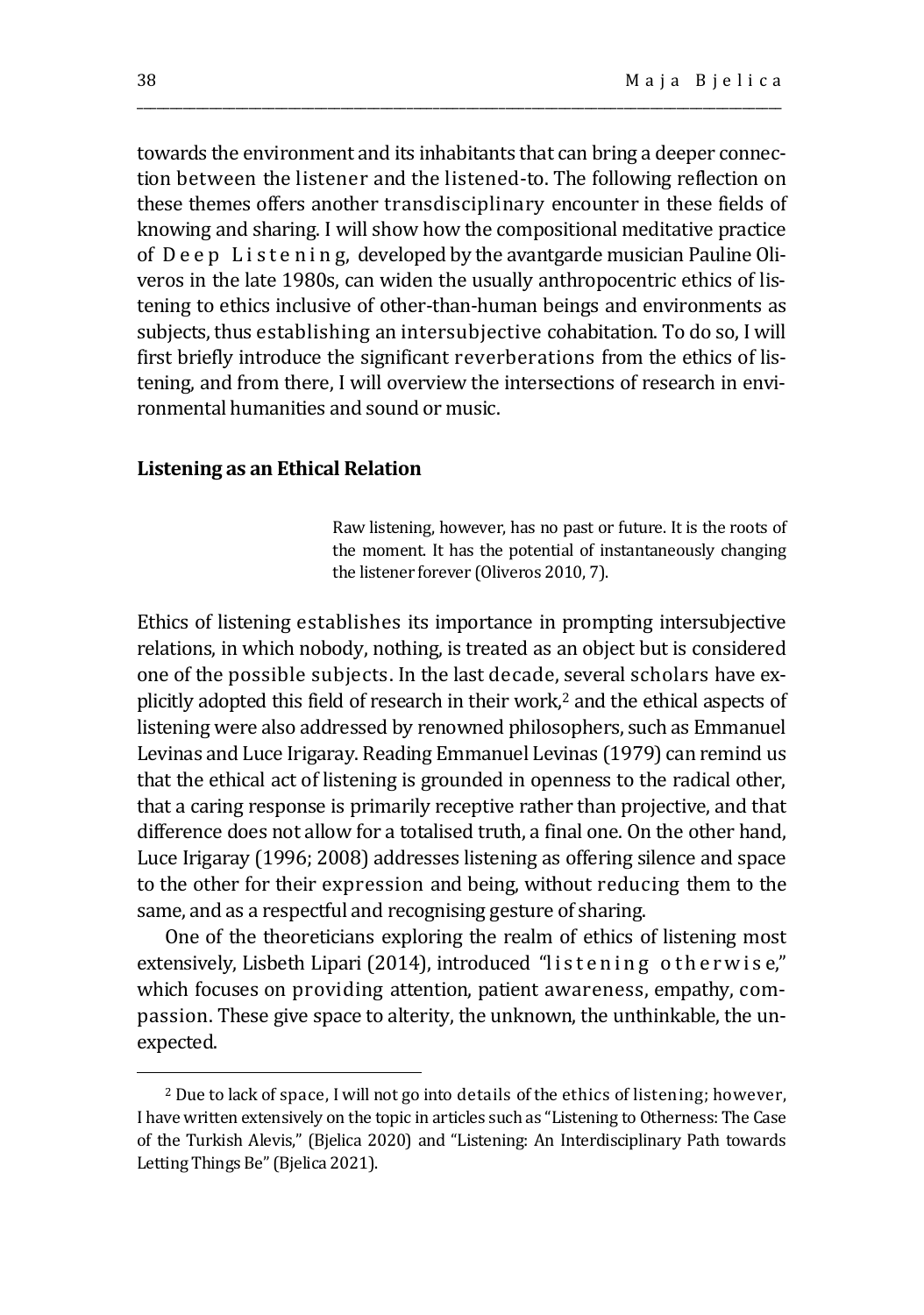towards the environment and its inhabitants that can bring a deeper connection between the listener and the listened-to. The following reflection on these themes offers another transdisciplinary encounter in these fields of knowing and sharing. I will show how the compositional meditative practice of D e e p L i s t e n i n g, developed by the avantgarde musician Pauline Oliveros in the late 1980s, can widen the usually anthropocentric ethics of listening to ethics inclusive of other-than-human beings and environments as subjects, thus establishing an intersubjective cohabitation. To do so, I will first briefly introduce the significant reverberations from the ethics of listening, and from there, I will overview the intersections of research in environmental humanities and sound or music.

\_\_\_\_\_\_\_\_\_\_\_\_\_\_\_\_\_\_\_\_\_\_\_\_\_\_\_\_\_\_\_\_\_\_\_\_\_\_\_\_\_\_\_\_\_\_\_\_\_\_\_\_\_\_\_\_\_\_\_\_\_\_\_\_\_\_\_\_\_\_\_\_\_\_\_\_\_\_\_\_\_\_\_\_\_\_\_\_\_\_\_\_\_\_\_\_\_\_

## **Listening as an Ethical Relation**

Raw listening, however, has no past or future. It is the roots of the moment. It has the potential of instantaneously changing the listener forever (Oliveros 2010, 7).

Ethics of listening establishes its importance in prompting intersubjective relations, in which nobody, nothing, is treated as an object but is considered one of the possible subjects. In the last decade, several scholars have explicitly adopted this field of research in their work,<sup>2</sup> and the ethical aspects of listening were also addressed by renowned philosophers, such as Emmanuel Levinas and Luce Irigaray. Reading Emmanuel Levinas (1979) can remind us that the ethical act of listening is grounded in openness to the radical other, that a caring response is primarily receptive rather than projective, and that difference does not allow for a totalised truth, a final one. On the other hand, Luce Irigaray (1996; 2008) addresses listening as offering silence and space to the other for their expression and being, without reducing them to the same, and as a respectful and recognising gesture of sharing.

One of the theoreticians exploring the realm of ethics of listening most extensively, Lisbeth Lipari (2014), introduced "listening otherwise," which focuses on providing attention, patient awareness, empathy, compassion. These give space to alterity, the unknown, the unthinkable, the unexpected.

<sup>2</sup> Due to lack of space, I will not go into details of the ethics of listening; however, I have written extensively on the topic in articles such as "Listening to Otherness: The Case of the Turkish Alevis," (Bjelica 2020) and "Listening: An Interdisciplinary Path towards Letting Things Be" (Bjelica 2021).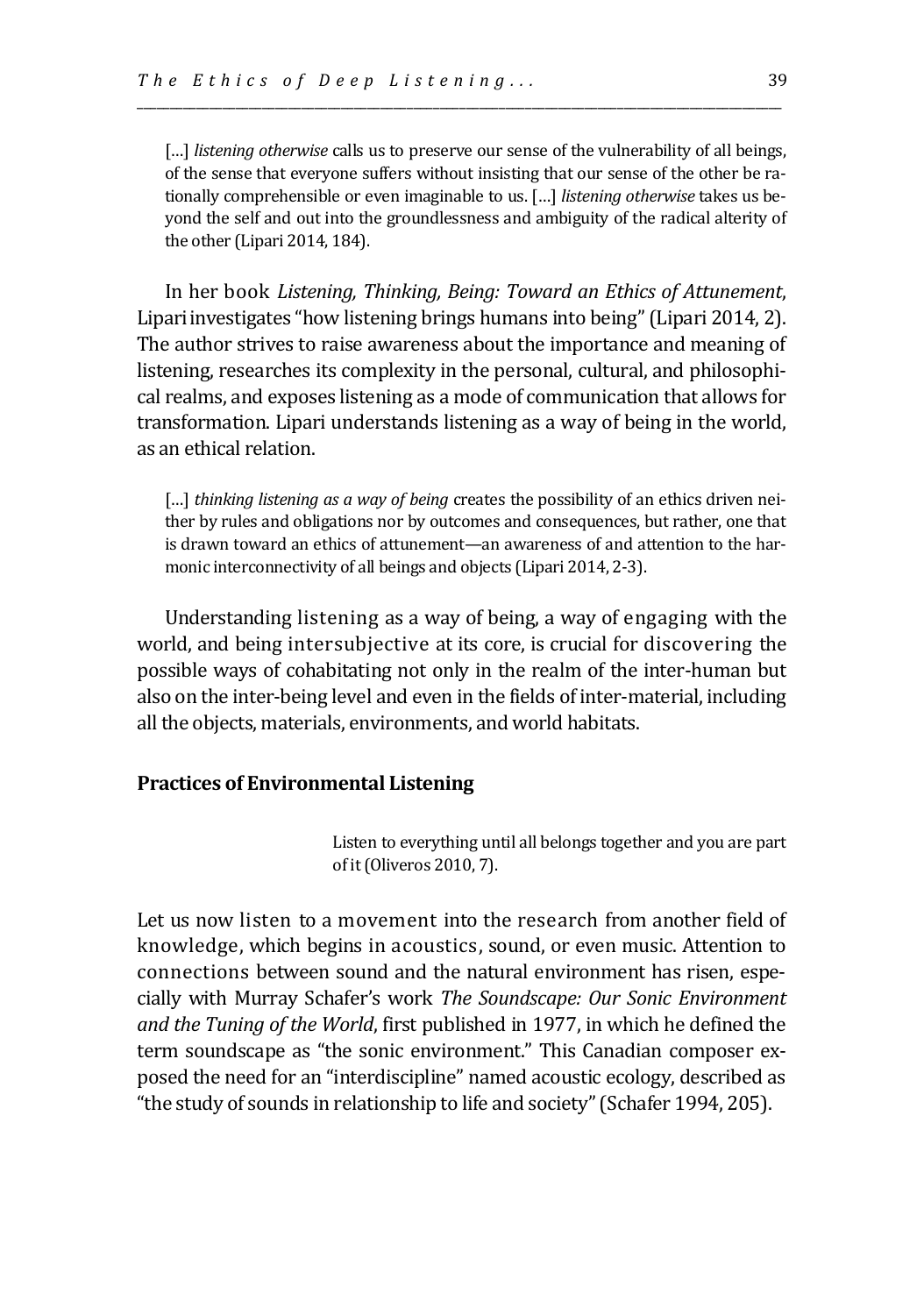[...] *listening otherwise* calls us to preserve our sense of the vulnerability of all beings, of the sense that everyone suffers without insisting that our sense of the other be rationally comprehensible or even imaginable to us. […] *listening otherwise* takes us beyond the self and out into the groundlessness and ambiguity of the radical alterity of the other (Lipari 2014, 184).

\_\_\_\_\_\_\_\_\_\_\_\_\_\_\_\_\_\_\_\_\_\_\_\_\_\_\_\_\_\_\_\_\_\_\_\_\_\_\_\_\_\_\_\_\_\_\_\_\_\_\_\_\_\_\_\_\_\_\_\_\_\_\_\_\_\_\_\_\_\_\_\_\_\_\_\_\_\_\_\_\_\_\_\_\_\_\_\_\_\_\_\_\_\_\_\_\_\_

In her book *Listening, Thinking, Being: Toward an Ethics of Attunement*, Lipariinvestigates "how listening brings humans into being" (Lipari 2014, 2). The author strives to raise awareness about the importance and meaning of listening, researches its complexity in the personal, cultural, and philosophical realms, and exposes listening as a mode of communication that allows for transformation. Lipari understands listening as a way of being in the world, as an ethical relation.

[...] *thinking listening as a way of being* creates the possibility of an ethics driven neither by rules and obligations nor by outcomes and consequences, but rather, one that is drawn toward an ethics of attunement—an awareness of and attention to the harmonic interconnectivity of all beings and objects (Lipari 2014, 2-3).

Understanding listening as a way of being, a way of engaging with the world, and being intersubjective at its core, is crucial for discovering the possible ways of cohabitating not only in the realm of the inter-human but also on the inter-being level and even in the fields of inter-material, including all the objects, materials, environments, and world habitats.

## **Practices of Environmental Listening**

Listen to everything until all belongs together and you are part of it (Oliveros 2010, 7).

Let us now listen to a movement into the research from another field of knowledge, which begins in acoustics, sound, or even music. Attention to connections between sound and the natural environment has risen, especially with Murray Schafer's work *The Soundscape: Our Sonic Environment and the Tuning of the World*, first published in 1977, in which he defined the term soundscape as "the sonic environment." This Canadian composer exposed the need for an "interdiscipline" named acoustic ecology, described as "the study of sounds in relationship to life and society" (Schafer 1994, 205).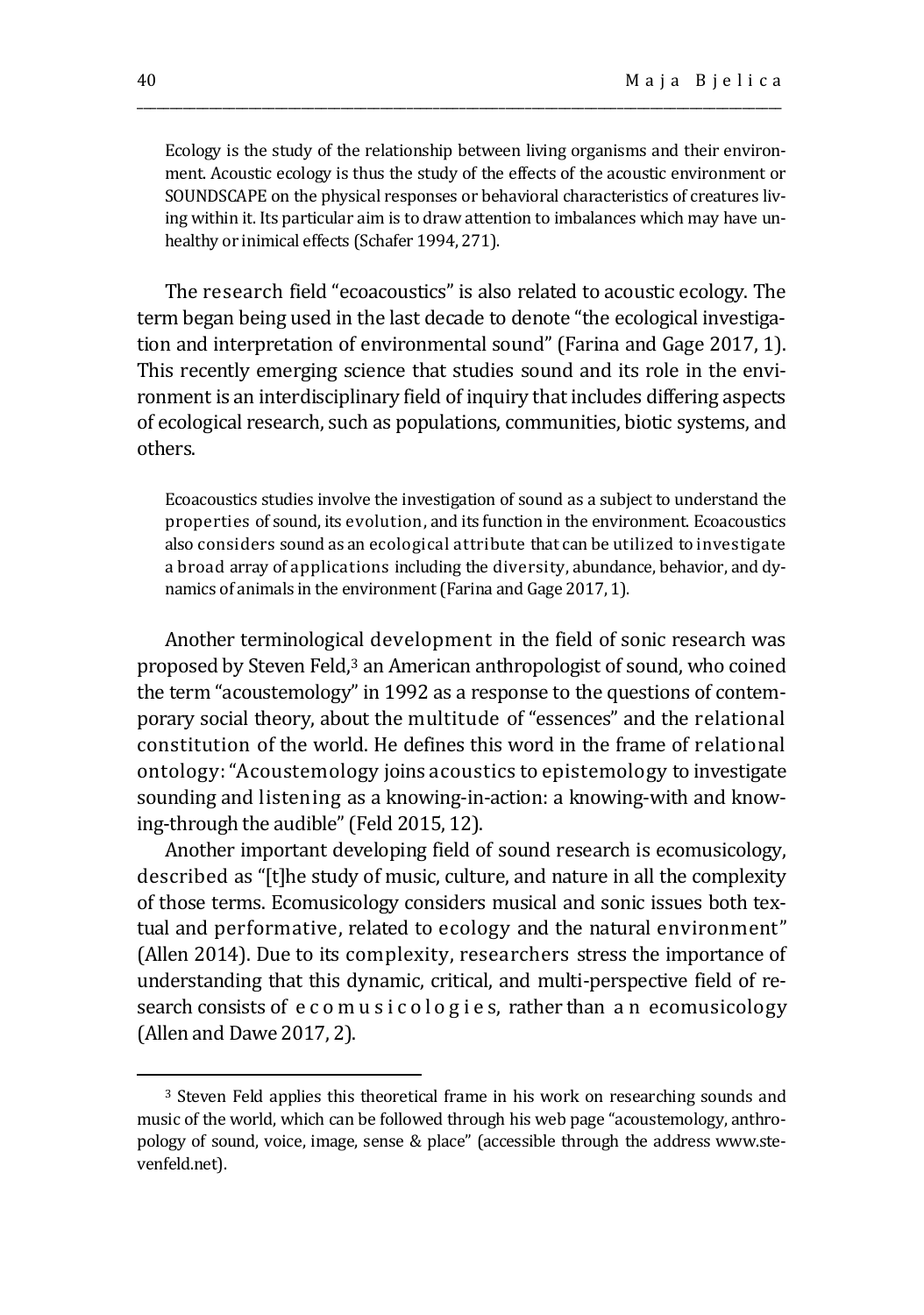Ecology is the study of the relationship between living organisms and their environment. Acoustic ecology is thus the study of the effects of the acoustic environment or SOUNDSCAPE on the physical responses or behavioral characteristics of creatures living within it. Its particular aim is to draw attention to imbalances which may have unhealthy or inimical effects (Schafer 1994, 271).

\_\_\_\_\_\_\_\_\_\_\_\_\_\_\_\_\_\_\_\_\_\_\_\_\_\_\_\_\_\_\_\_\_\_\_\_\_\_\_\_\_\_\_\_\_\_\_\_\_\_\_\_\_\_\_\_\_\_\_\_\_\_\_\_\_\_\_\_\_\_\_\_\_\_\_\_\_\_\_\_\_\_\_\_\_\_\_\_\_\_\_\_\_\_\_\_\_\_

The research field "ecoacoustics" is also related to acoustic ecology. The term began being used in the last decade to denote "the ecological investigation and interpretation of environmental sound" (Farina and Gage 2017, 1). This recently emerging science that studies sound and its role in the environment is an interdisciplinary field of inquiry that includes differing aspects of ecological research, such as populations, communities, biotic systems, and others.

Ecoacoustics studies involve the investigation of sound as a subject to understand the properties of sound, its evolution, and its function in the environment. Ecoacoustics also considers sound as an ecological attribute that can be utilized to investigate a broad array of applications including the diversity, abundance, behavior, and dynamics of animals in the environment (Farina and Gage 2017, 1).

Another terminological development in the field of sonic research was proposed by Steven Feld,<sup>3</sup> an American anthropologist of sound, who coined the term "acoustemology" in 1992 as a response to the questions of contemporary social theory, about the multitude of "essences" and the relational constitution of the world. He defines this word in the frame of relational ontology: "Acoustemology joins acoustics to epistemology to investigate sounding and listening as a knowing-in-action: a knowing-with and knowing-through the audible" (Feld 2015, 12).

Another important developing field of sound research is ecomusicology, described as "[t]he study of music, culture, and nature in all the complexity of those terms. Ecomusicology considers musical and sonic issues both textual and performative, related to ecology and the natural environment" (Allen 2014). Due to its complexity, researchers stress the importance of understanding that this dynamic, critical, and multi-perspective field of research consists of e c o m u s i c o l o g i e s, rather than a n ecomusicology (Allen and Dawe 2017, 2).

<sup>3</sup> Steven Feld applies this theoretical frame in his work on researching sounds and music of the world, which can be followed through his web page "acoustemology, anthropology of sound, voice, image, sense & place" (accessible through the address www.stevenfeld.net).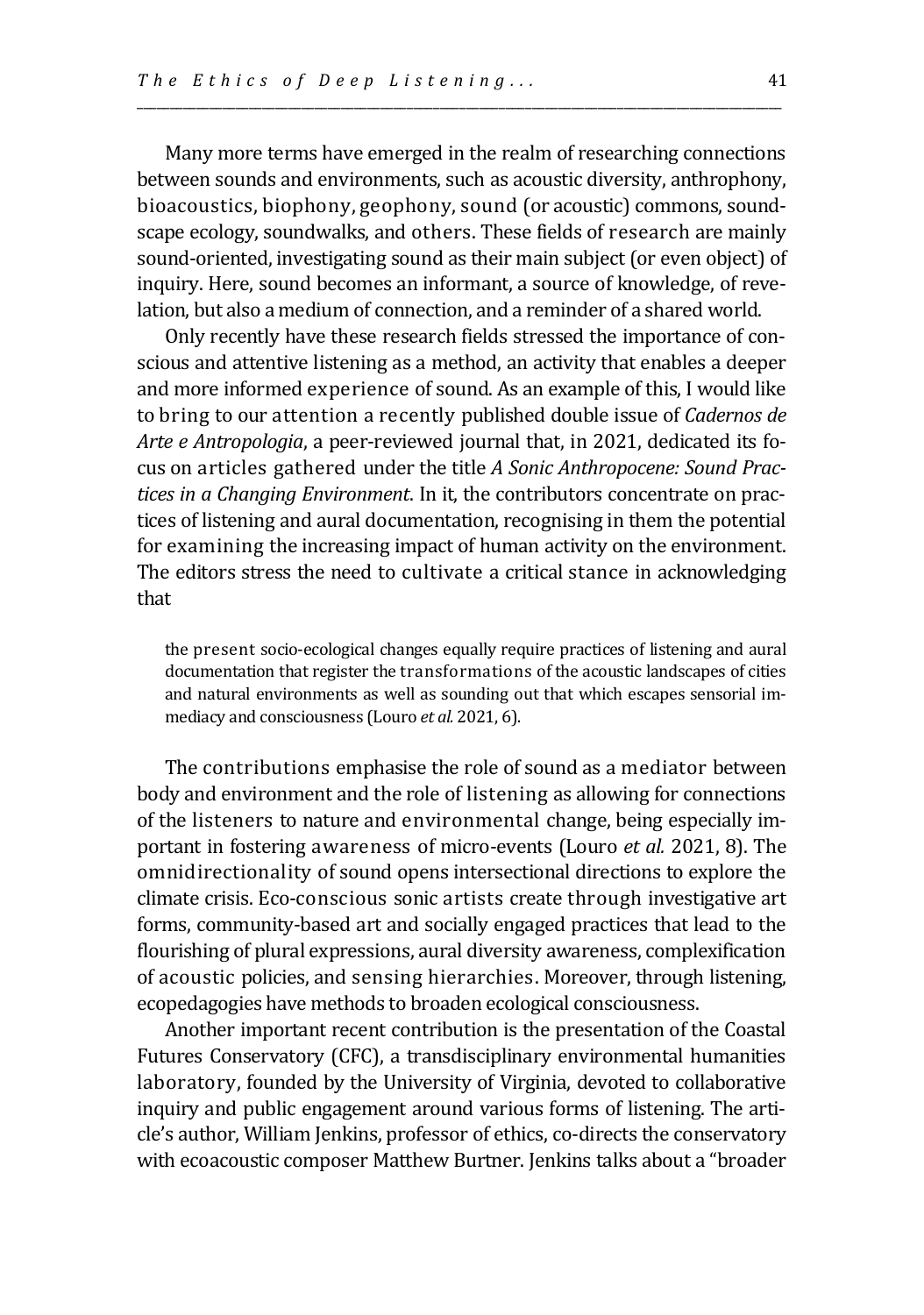Many more terms have emerged in the realm of researching connections between sounds and environments, such as acoustic diversity, anthrophony, bioacoustics, biophony, geophony, sound (or acoustic) commons, soundscape ecology, soundwalks, and others. These fields of research are mainly sound-oriented, investigating sound as their main subject (or even object) of inquiry. Here, sound becomes an informant, a source of knowledge, of revelation, but also a medium of connection, and a reminder of a shared world.

\_\_\_\_\_\_\_\_\_\_\_\_\_\_\_\_\_\_\_\_\_\_\_\_\_\_\_\_\_\_\_\_\_\_\_\_\_\_\_\_\_\_\_\_\_\_\_\_\_\_\_\_\_\_\_\_\_\_\_\_\_\_\_\_\_\_\_\_\_\_\_\_\_\_\_\_\_\_\_\_\_\_\_\_\_\_\_\_\_\_\_\_\_\_\_\_\_\_

Only recently have these research fields stressed the importance of conscious and attentive listening as a method, an activity that enables a deeper and more informed experience of sound. As an example of this, I would like to bring to our attention a recently published double issue of *Cadernos de Arte e Antropologia*, a peer-reviewed journal that, in 2021, dedicated its focus on articles gathered under the title *A Sonic Anthropocene: Sound Practices in a Changing Environment*. In it, the contributors concentrate on practices of listening and aural documentation, recognising in them the potential for examining the increasing impact of human activity on the environment. The editors stress the need to cultivate a critical stance in acknowledging that

the present socio-ecological changes equally require practices of listening and aural documentation that register the transformations of the acoustic landscapes of cities and natural environments as well as sounding out that which escapes sensorial immediacy and consciousness (Louro *et al.* 2021, 6).

The contributions emphasise the role of sound as a mediator between body and environment and the role of listening as allowing for connections of the listeners to nature and environmental change, being especially important in fostering awareness of micro-events (Louro *et al.* 2021, 8). The omnidirectionality of sound opens intersectional directions to explore the climate crisis. Eco-conscious sonic artists create through investigative art forms, community-based art and socially engaged practices that lead to the flourishing of plural expressions, aural diversity awareness, complexification of acoustic policies, and sensing hierarchies. Moreover, through listening, ecopedagogies have methods to broaden ecological consciousness.

Another important recent contribution is the presentation of the Coastal Futures Conservatory (CFC), a transdisciplinary environmental humanities laboratory, founded by the University of Virginia, devoted to collaborative inquiry and public engagement around various forms of listening. The article's author, William Jenkins, professor of ethics, co-directs the conservatory with ecoacoustic composer Matthew Burtner. Jenkins talks about a "broader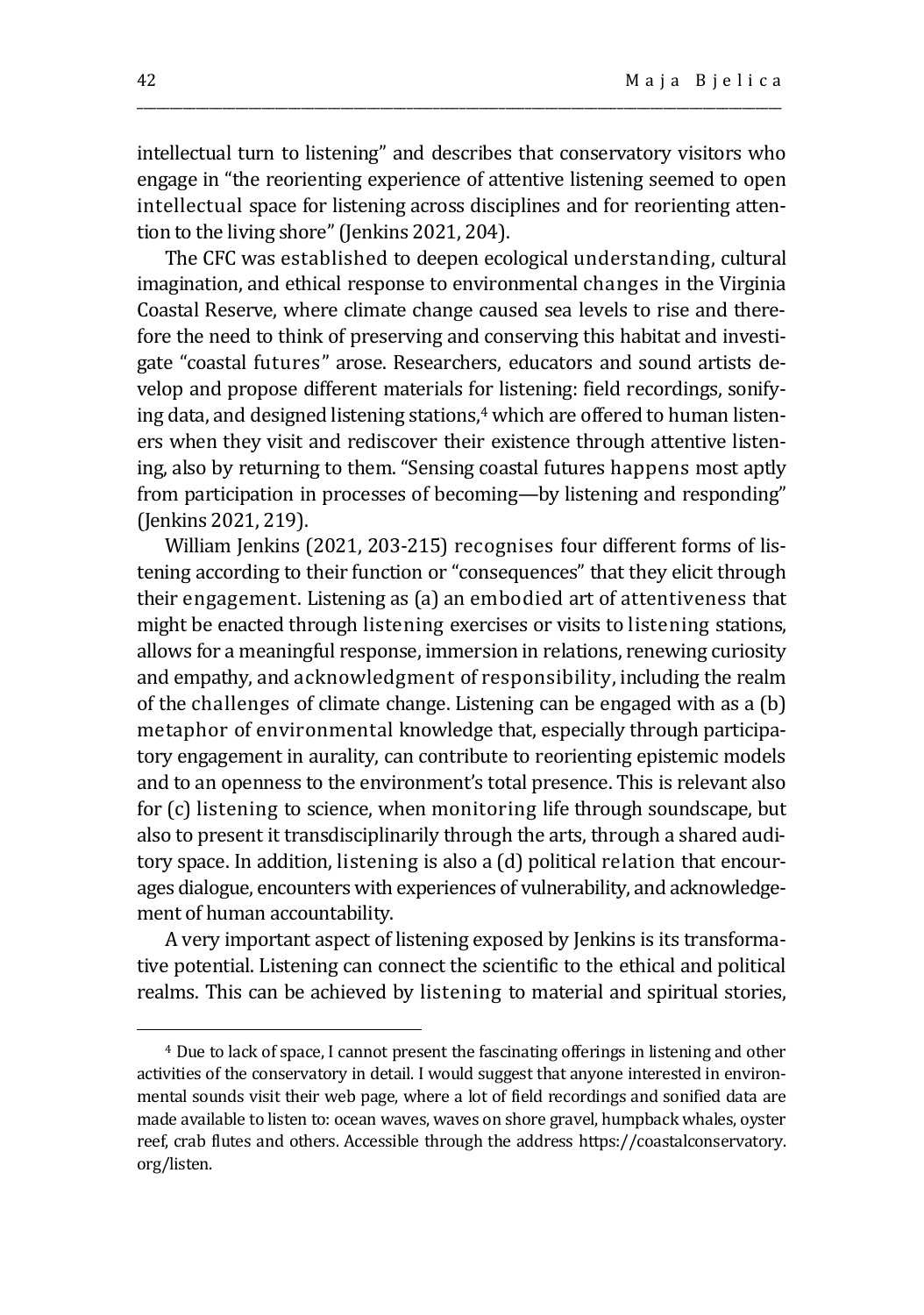intellectual turn to listening" and describes that conservatory visitors who engage in "the reorienting experience of attentive listening seemed to open intellectual space for listening across disciplines and for reorienting attention to the living shore" (Jenkins 2021, 204).

\_\_\_\_\_\_\_\_\_\_\_\_\_\_\_\_\_\_\_\_\_\_\_\_\_\_\_\_\_\_\_\_\_\_\_\_\_\_\_\_\_\_\_\_\_\_\_\_\_\_\_\_\_\_\_\_\_\_\_\_\_\_\_\_\_\_\_\_\_\_\_\_\_\_\_\_\_\_\_\_\_\_\_\_\_\_\_\_\_\_\_\_\_\_\_\_\_\_

The CFC was established to deepen ecological understanding, cultural imagination, and ethical response to environmental changes in the Virginia Coastal Reserve, where climate change caused sea levels to rise and therefore the need to think of preserving and conserving this habitat and investigate "coastal futures" arose. Researchers, educators and sound artists develop and propose different materials for listening: field recordings, sonifying data, and designed listening stations,<sup>4</sup> which are offered to human listeners when they visit and rediscover their existence through attentive listening, also by returning to them. "Sensing coastal futures happens most aptly from participation in processes of becoming—by listening and responding" (Jenkins 2021, 219).

William Jenkins (2021, 203-215) recognises four different forms of listening according to their function or "consequences" that they elicit through their engagement. Listening as (a) an embodied art of attentiveness that might be enacted through listening exercises or visits to listening stations, allows for a meaningful response, immersion in relations, renewing curiosity and empathy, and acknowledgment of responsibility, including the realm of the challenges of climate change. Listening can be engaged with as a (b) metaphor of environmental knowledge that, especially through participatory engagement in aurality, can contribute to reorienting epistemic models and to an openness to the environment's total presence. This is relevant also for (c) listening to science, when monitoring life through soundscape, but also to present it transdisciplinarily through the arts, through a shared auditory space. In addition, listening is also a (d) political relation that encourages dialogue, encounters with experiences of vulnerability, and acknowledgement of human accountability.

A very important aspect of listening exposed by Jenkins is its transformative potential. Listening can connect the scientific to the ethical and political realms. This can be achieved by listening to material and spiritual stories,

<sup>4</sup> Due to lack of space, I cannot present the fascinating offerings in listening and other activities of the conservatory in detail. I would suggest that anyone interested in environmental sounds visit their web page, where a lot of field recordings and sonified data are made available to listen to: ocean waves, waves on shore gravel, humpback whales, oyster reef, crab flutes and others. Accessible through the address https://coastalconservatory. org/listen.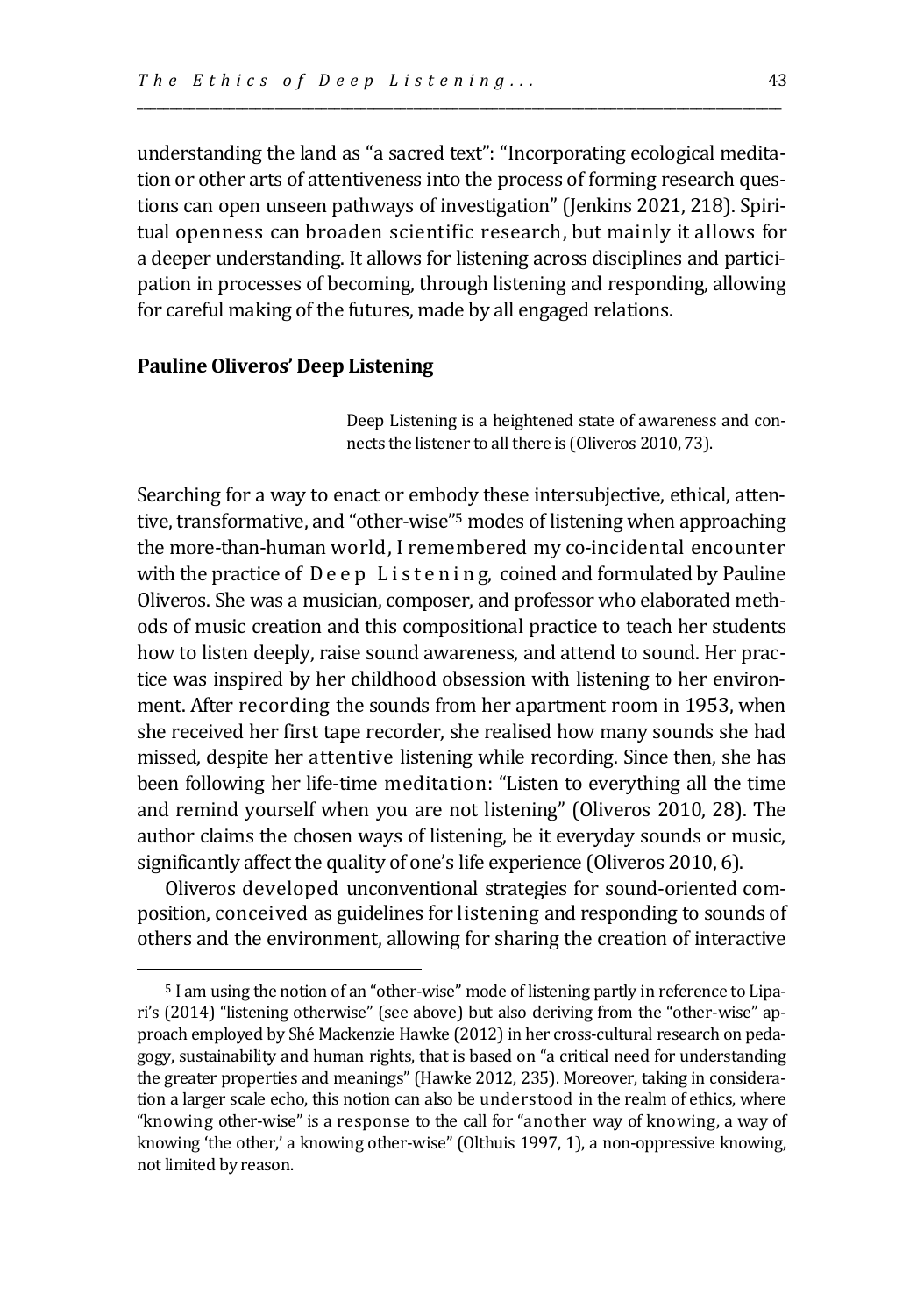understanding the land as "a sacred text": "Incorporating ecological meditation or other arts of attentiveness into the process of forming research questions can open unseen pathways of investigation" (Jenkins 2021, 218). Spiritual openness can broaden scientific research, but mainly it allows for a deeper understanding. It allows for listening across disciplines and participation in processes of becoming, through listening and responding, allowing for careful making of the futures, made by all engaged relations.

\_\_\_\_\_\_\_\_\_\_\_\_\_\_\_\_\_\_\_\_\_\_\_\_\_\_\_\_\_\_\_\_\_\_\_\_\_\_\_\_\_\_\_\_\_\_\_\_\_\_\_\_\_\_\_\_\_\_\_\_\_\_\_\_\_\_\_\_\_\_\_\_\_\_\_\_\_\_\_\_\_\_\_\_\_\_\_\_\_\_\_\_\_\_\_\_\_\_

## **Pauline Oliveros' Deep Listening**

Deep Listening is a heightened state of awareness and connects the listener to all there is (Oliveros 2010, 73).

Searching for a way to enact or embody these intersubjective, ethical, attentive, transformative, and "other-wise"<sup>5</sup> modes of listening when approaching the more-than-human world, I remembered my co-incidental encounter with the practice of  $D e e p$  L is tening, coined and formulated by Pauline Oliveros. She was a musician, composer, and professor who elaborated methods of music creation and this compositional practice to teach her students how to listen deeply, raise sound awareness, and attend to sound. Her practice was inspired by her childhood obsession with listening to her environment. After recording the sounds from her apartment room in 1953, when she received her first tape recorder, she realised how many sounds she had missed, despite her attentive listening while recording. Since then, she has been following her life-time meditation: "Listen to everything all the time and remind yourself when you are not listening" (Oliveros 2010, 28). The author claims the chosen ways of listening, be it everyday sounds or music, significantly affect the quality of one's life experience (Oliveros 2010, 6).

Oliveros developed unconventional strategies for sound-oriented composition, conceived as guidelines for listening and responding to sounds of others and the environment, allowing for sharing the creation of interactive

<sup>5</sup> I am using the notion of an "other-wise" mode of listening partly in reference to Lipari's (2014) "listening otherwise" (see above) but also deriving from the "other-wise" approach employed by Shé Mackenzie Hawke (2012) in her cross-cultural research on pedagogy, sustainability and human rights, that is based on "a critical need for understanding the greater properties and meanings" (Hawke 2012, 235). Moreover, taking in consideration a larger scale echo, this notion can also be understood in the realm of ethics, where "knowing other-wise" is a response to the call for "another way of knowing, a way of knowing 'the other,' a knowing other-wise" (Olthuis 1997, 1), a non-oppressive knowing, not limited by reason.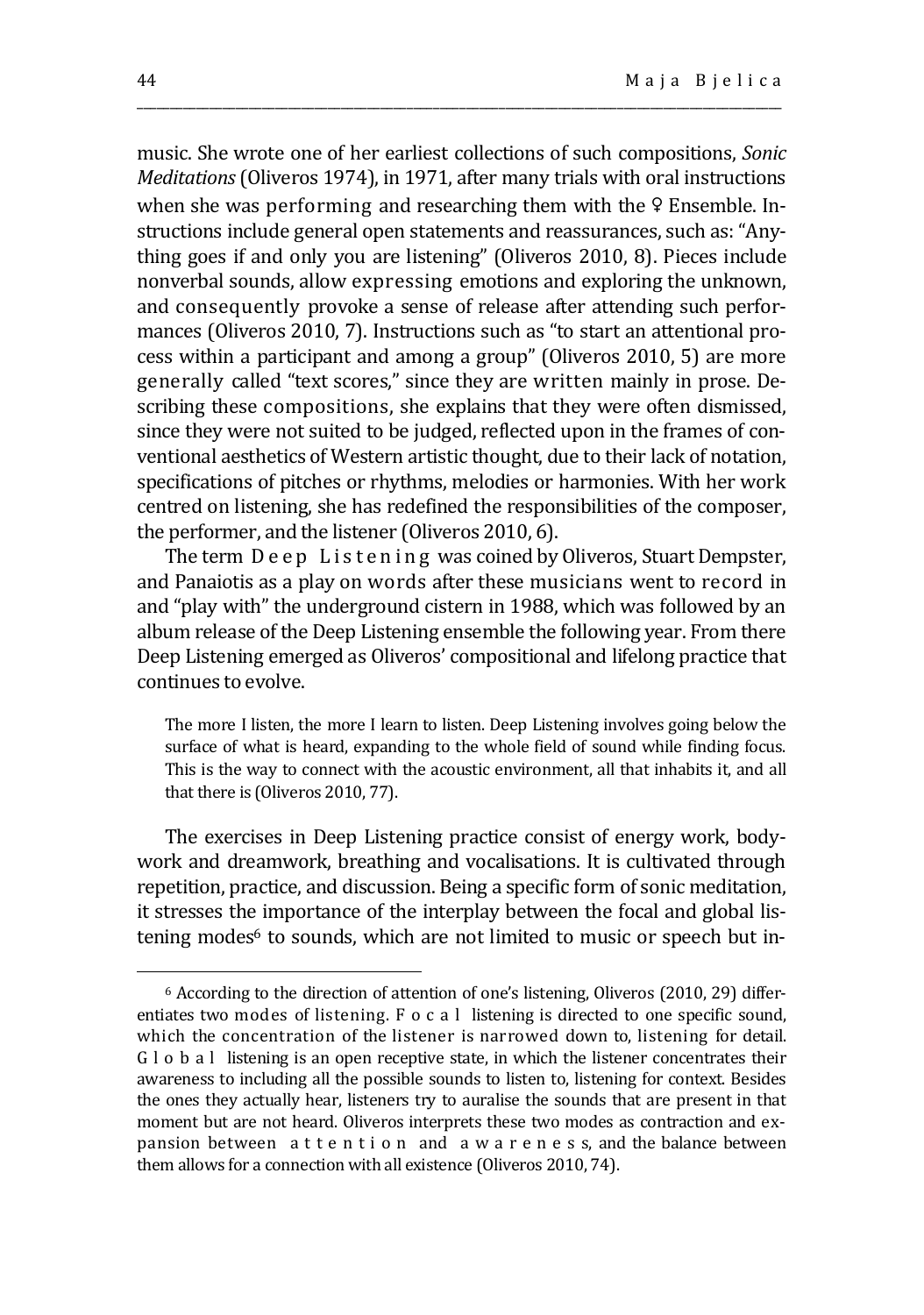music. She wrote one of her earliest collections of such compositions, *Sonic Meditations* (Oliveros 1974), in 1971, after many trials with oral instructions when she was performing and researching them with the <del>♀</del> Ensemble. Instructions include general open statements and reassurances, such as: "Anything goes if and only you are listening" (Oliveros 2010, 8). Pieces include nonverbal sounds, allow expressing emotions and exploring the unknown, and consequently provoke a sense of release after attending such performances (Oliveros 2010, 7). Instructions such as "to start an attentional process within a participant and among a group" (Oliveros 2010, 5) are more generally called "text scores," since they are written mainly in prose. Describing these compositions, she explains that they were often dismissed, since they were not suited to be judged, reflected upon in the frames of conventional aesthetics of Western artistic thought, due to their lack of notation, specifications of pitches or rhythms, melodies or harmonies. With her work centred on listening, she has redefined the responsibilities of the composer, the performer, and the listener (Oliveros 2010, 6).

\_\_\_\_\_\_\_\_\_\_\_\_\_\_\_\_\_\_\_\_\_\_\_\_\_\_\_\_\_\_\_\_\_\_\_\_\_\_\_\_\_\_\_\_\_\_\_\_\_\_\_\_\_\_\_\_\_\_\_\_\_\_\_\_\_\_\_\_\_\_\_\_\_\_\_\_\_\_\_\_\_\_\_\_\_\_\_\_\_\_\_\_\_\_\_\_\_\_

The term Deep Listening was coined by Oliveros, Stuart Dempster, and Panaiotis as a play on words after these musicians went to record in and "play with" the underground cistern in 1988, which was followed by an album release of the Deep Listening ensemble the following year. From there Deep Listening emerged as Oliveros' compositional and lifelong practice that continues to evolve.

The more I listen, the more I learn to listen. Deep Listening involves going below the surface of what is heard, expanding to the whole field of sound while finding focus. This is the way to connect with the acoustic environment, all that inhabits it, and all that there is (Oliveros 2010, 77).

The exercises in Deep Listening practice consist of energy work, bodywork and dreamwork, breathing and vocalisations. It is cultivated through repetition, practice, and discussion. Being a specific form of sonic meditation, it stresses the importance of the interplay between the focal and global listening modes<sup>6</sup> to sounds, which are not limited to music or speech but in-

<sup>6</sup> According to the direction of attention of one's listening, Oliveros (2010, 29) differentiates two modes of listening. F o c a l listening is directed to one specific sound, which the concentration of the listener is narrowed down to, listening for detail. G l o b a l listening is an open receptive state, in which the listener concentrates their awareness to including all the possible sounds to listen to, listening for context. Besides the ones they actually hear, listeners try to auralise the sounds that are present in that moment but are not heard. Oliveros interprets these two modes as contraction and expansion between a t t e n t i o n and a w a r e n e s s, and the balance between them allows for a connection with all existence (Oliveros 2010, 74).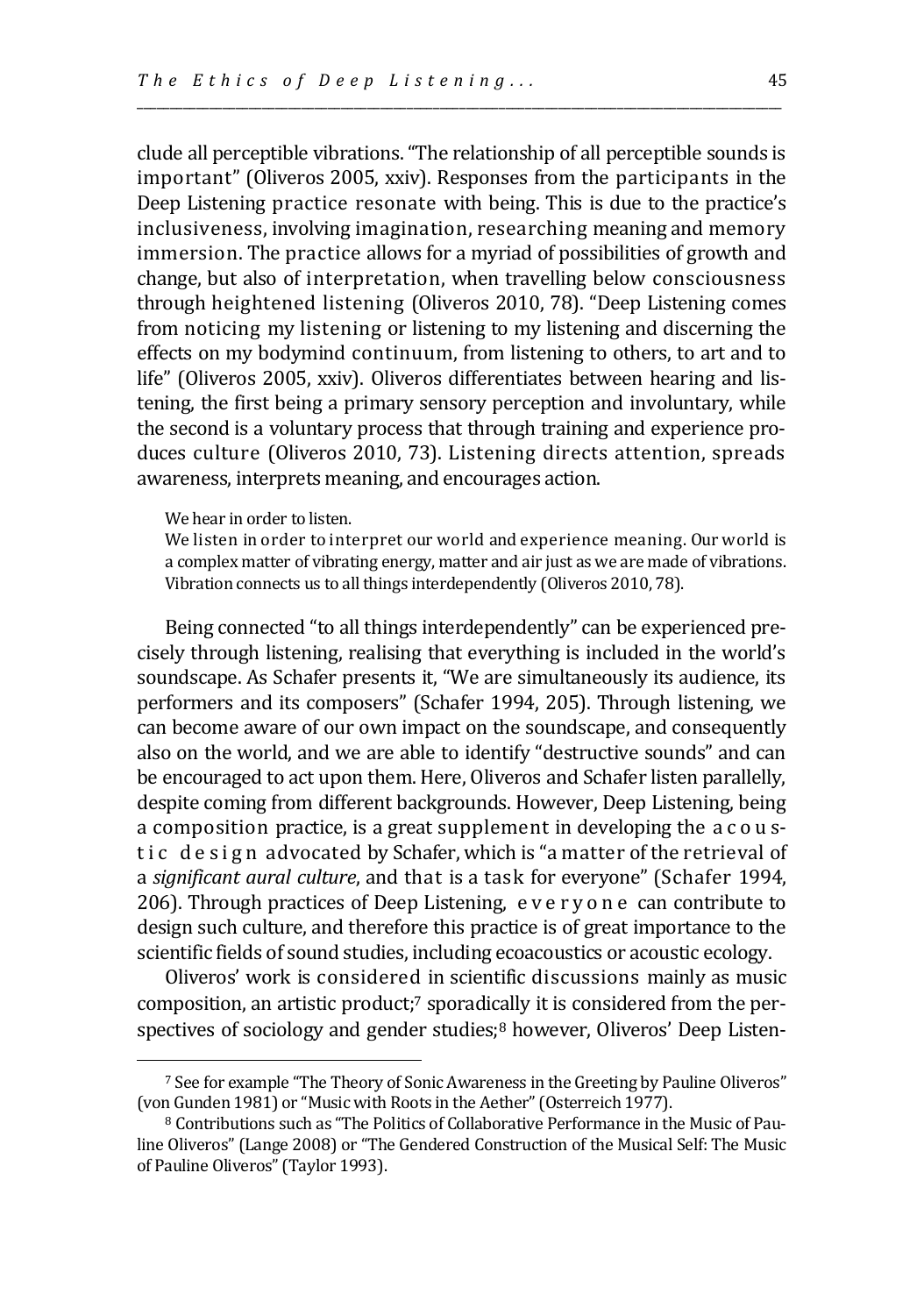clude all perceptible vibrations. "The relationship of all perceptible sounds is important" (Oliveros 2005, xxiv). Responses from the participants in the Deep Listening practice resonate with being. This is due to the practice's inclusiveness, involving imagination, researching meaning and memory immersion. The practice allows for a myriad of possibilities of growth and change, but also of interpretation, when travelling below consciousness through heightened listening (Oliveros 2010, 78). "Deep Listening comes from noticing my listening or listening to my listening and discerning the effects on my bodymind continuum, from listening to others, to art and to life" (Oliveros 2005, xxiv). Oliveros differentiates between hearing and listening, the first being a primary sensory perception and involuntary, while the second is a voluntary process that through training and experience produces culture (Oliveros 2010, 73). Listening directs attention, spreads awareness, interprets meaning, and encourages action.

\_\_\_\_\_\_\_\_\_\_\_\_\_\_\_\_\_\_\_\_\_\_\_\_\_\_\_\_\_\_\_\_\_\_\_\_\_\_\_\_\_\_\_\_\_\_\_\_\_\_\_\_\_\_\_\_\_\_\_\_\_\_\_\_\_\_\_\_\_\_\_\_\_\_\_\_\_\_\_\_\_\_\_\_\_\_\_\_\_\_\_\_\_\_\_\_\_\_

### We hear in order to listen.

We listen in order to interpret our world and experience meaning. Our world is a complex matter of vibrating energy, matter and air just as we are made of vibrations. Vibration connects us to all things interdependently (Oliveros 2010, 78).

Being connected "to all things interdependently" can be experienced precisely through listening, realising that everything is included in the world's soundscape. As Schafer presents it, "We are simultaneously its audience, its performers and its composers" (Schafer 1994, 205). Through listening, we can become aware of our own impact on the soundscape, and consequently also on the world, and we are able to identify "destructive sounds" and can be encouraged to act upon them. Here, Oliveros and Schafer listen parallelly, despite coming from different backgrounds. However, Deep Listening, being a composition practice, is a great supplement in developing the a c o u stic design advocated by Schafer, which is "a matter of the retrieval of a *significant aural culture*, and that is a task for everyone" (Schafer 1994, 206). Through practices of Deep Listening, e v e r y o n e can contribute to design such culture, and therefore this practice is of great importance to the scientific fields of sound studies, including ecoacoustics or acoustic ecology.

Oliveros' work is considered in scientific discussions mainly as music composition, an artistic product;<sup>7</sup> sporadically it is considered from the perspectives of sociology and gender studies;<sup>8</sup> however, Oliveros' Deep Listen-

<sup>7</sup> See for example "The Theory of Sonic Awareness in the Greeting by Pauline Oliveros" (von Gunden 1981) or "Music with Roots in the Aether"(Osterreich 1977).

<sup>8</sup> Contributions such as "The Politics of Collaborative Performance in the Music of Pauline Oliveros" (Lange 2008) or "The Gendered Construction of the Musical Self: The Music of Pauline Oliveros"(Taylor 1993).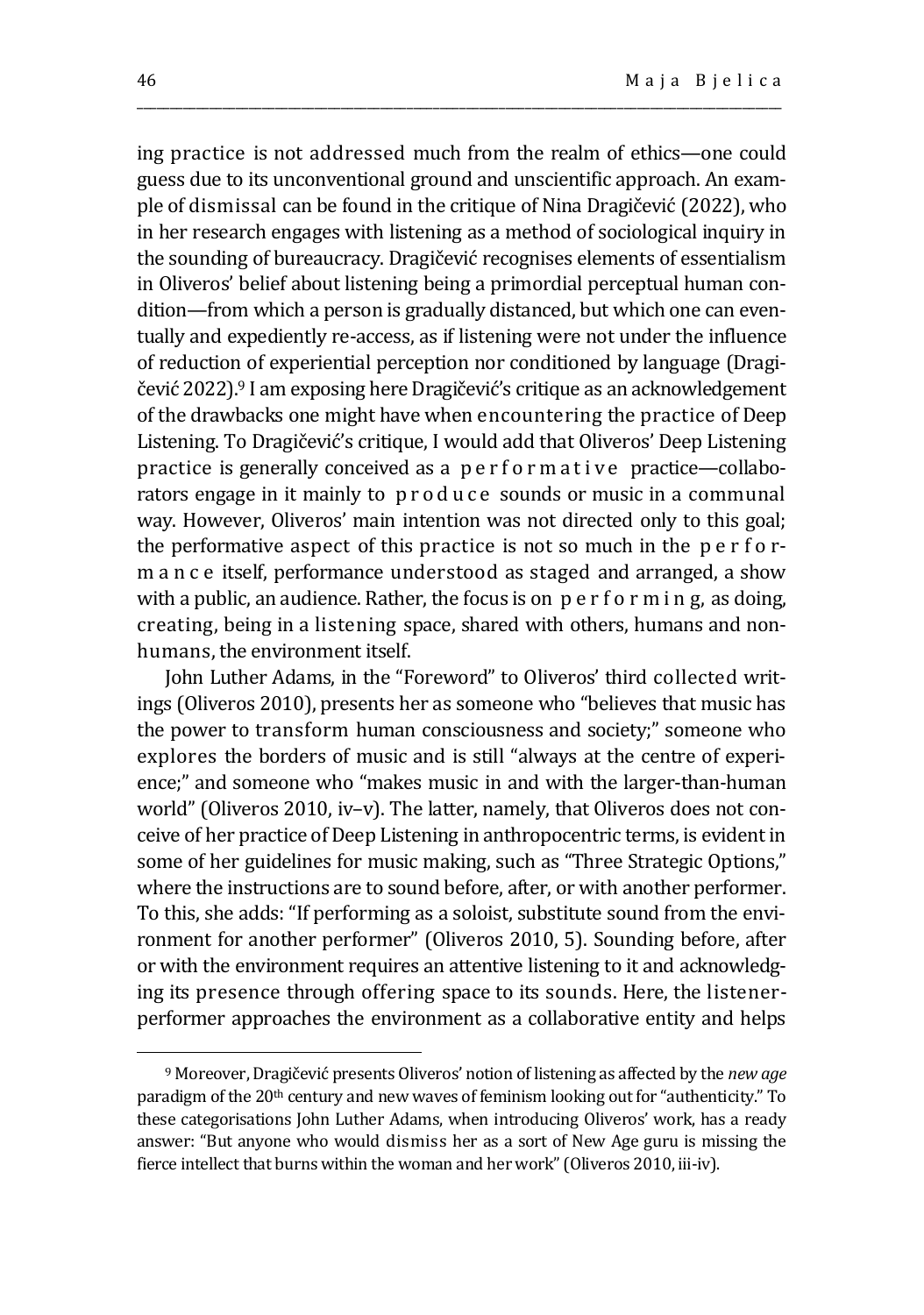ing practice is not addressed much from the realm of ethics—one could guess due to its unconventional ground and unscientific approach. An example of dismissal can be found in the critique of Nina Dragičević (2022), who in her research engages with listening as a method of sociological inquiry in the sounding of bureaucracy. Dragičević recognises elements of essentialism in Oliveros' belief about listening being a primordial perceptual human condition—from which a person is gradually distanced, but which one can eventually and expediently re-access, as if listening were not under the influence of reduction of experiential perception nor conditioned by language (Dragičević 2022).<sup>9</sup> I am exposing here Dragičević's critique as an acknowledgement of the drawbacks one might have when encountering the practice of Deep Listening. To Dragičević's critique, I would add that Oliveros' Deep Listening practice is generally conceived as a performative practice—collaborators engage in it mainly to produce sounds or music in a communal way. However, Oliveros' main intention was not directed only to this goal; the performative aspect of this practice is not so much in the p e r f o rm a n c e itself, performance understood as staged and arranged, a show with a public, an audience. Rather, the focus is on p e r f o r m i n g, as doing, creating, being in a listening space, shared with others, humans and nonhumans, the environment itself.

\_\_\_\_\_\_\_\_\_\_\_\_\_\_\_\_\_\_\_\_\_\_\_\_\_\_\_\_\_\_\_\_\_\_\_\_\_\_\_\_\_\_\_\_\_\_\_\_\_\_\_\_\_\_\_\_\_\_\_\_\_\_\_\_\_\_\_\_\_\_\_\_\_\_\_\_\_\_\_\_\_\_\_\_\_\_\_\_\_\_\_\_\_\_\_\_\_\_

John Luther Adams, in the "Foreword" to Oliveros' third collected writings (Oliveros 2010), presents her as someone who "believes that music has the power to transform human consciousness and society;" someone who explores the borders of music and is still "always at the centre of experience;" and someone who "makes music in and with the larger-than-human world" (Oliveros 2010, iv–v). The latter, namely, that Oliveros does not conceive of her practice of Deep Listening in anthropocentric terms, is evident in some of her guidelines for music making, such as "Three Strategic Options," where the instructions are to sound before, after, or with another performer. To this, she adds: "If performing as a soloist, substitute sound from the environment for another performer" (Oliveros 2010, 5). Sounding before, after or with the environment requires an attentive listening to it and acknowledging its presence through offering space to its sounds. Here, the listenerperformer approaches the environment as a collaborative entity and helps

<sup>9</sup> Moreover, Dragičević presents Oliveros' notion of listening as affected by the *new age* paradigm of the 20<sup>th</sup> century and new waves of feminism looking out for "authenticity." To these categorisations John Luther Adams, when introducing Oliveros' work, has a ready answer: "But anyone who would dismiss her as a sort of New Age guru is missing the fierce intellect that burns within the woman and her work" (Oliveros 2010, iii-iv).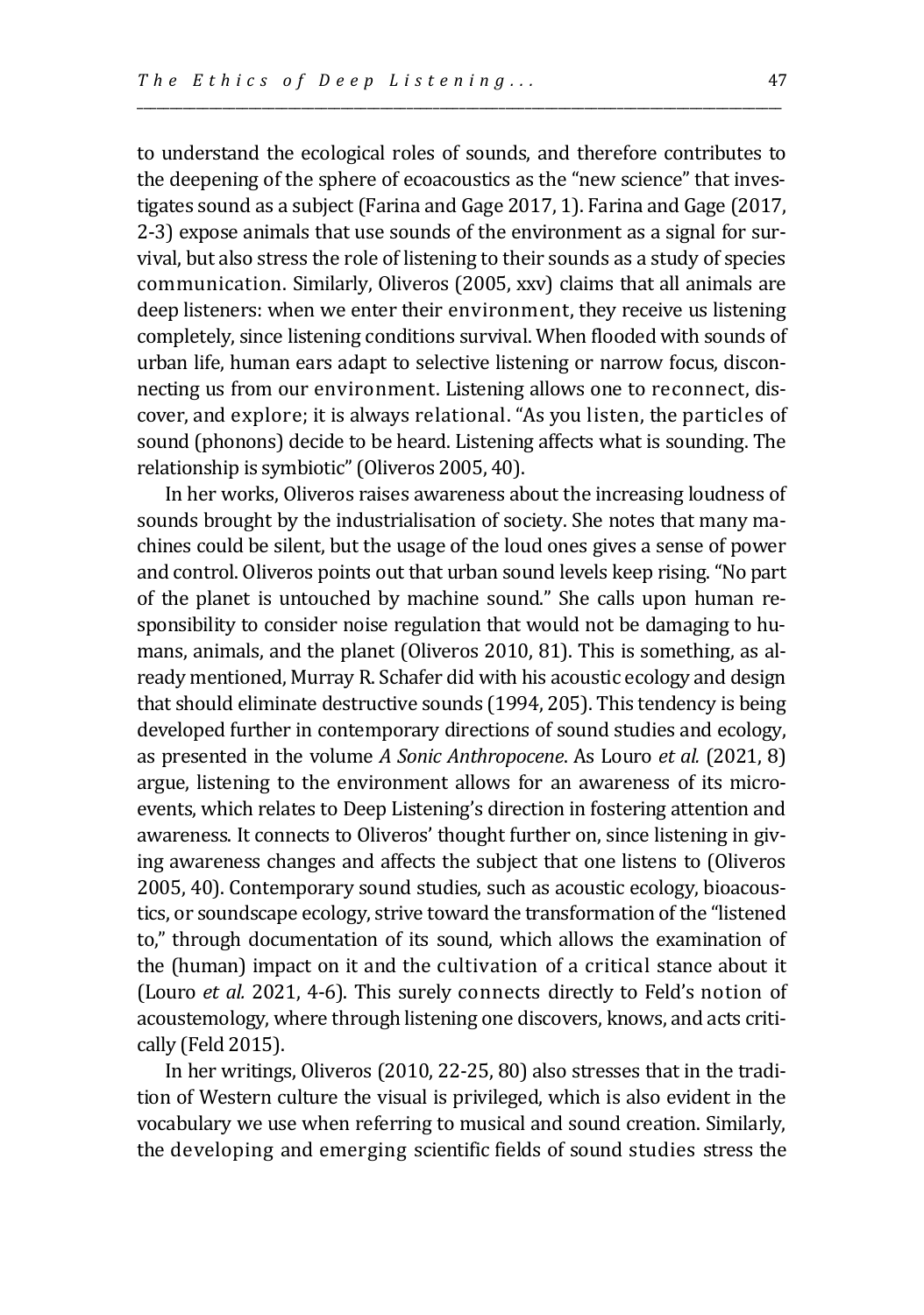to understand the ecological roles of sounds, and therefore contributes to the deepening of the sphere of ecoacoustics as the "new science" that investigates sound as a subject (Farina and Gage 2017, 1). Farina and Gage (2017, 2-3) expose animals that use sounds of the environment as a signal for survival, but also stress the role of listening to their sounds as a study of species communication. Similarly, Oliveros (2005, xxv) claims that all animals are deep listeners: when we enter their environment, they receive us listening completely, since listening conditions survival. When flooded with sounds of urban life, human ears adapt to selective listening or narrow focus, disconnecting us from our environment. Listening allows one to reconnect, discover, and explore; it is always relational. "As you listen, the particles of sound (phonons) decide to be heard. Listening affects what is sounding. The relationship is symbiotic" (Oliveros 2005, 40).

\_\_\_\_\_\_\_\_\_\_\_\_\_\_\_\_\_\_\_\_\_\_\_\_\_\_\_\_\_\_\_\_\_\_\_\_\_\_\_\_\_\_\_\_\_\_\_\_\_\_\_\_\_\_\_\_\_\_\_\_\_\_\_\_\_\_\_\_\_\_\_\_\_\_\_\_\_\_\_\_\_\_\_\_\_\_\_\_\_\_\_\_\_\_\_\_\_\_

In her works, Oliveros raises awareness about the increasing loudness of sounds brought by the industrialisation of society. She notes that many machines could be silent, but the usage of the loud ones gives a sense of power and control. Oliveros points out that urban sound levels keep rising. "No part of the planet is untouched by machine sound." She calls upon human responsibility to consider noise regulation that would not be damaging to humans, animals, and the planet (Oliveros 2010, 81). This is something, as already mentioned, Murray R. Schafer did with his acoustic ecology and design that should eliminate destructive sounds (1994, 205). This tendency is being developed further in contemporary directions of sound studies and ecology, as presented in the volume *A Sonic Anthropocene*. As Louro *et al.* (2021, 8) argue, listening to the environment allows for an awareness of its microevents, which relates to Deep Listening's direction in fostering attention and awareness. It connects to Oliveros' thought further on, since listening in giving awareness changes and affects the subject that one listens to (Oliveros 2005, 40). Contemporary sound studies, such as acoustic ecology, bioacoustics, or soundscape ecology, strive toward the transformation of the "listened to," through documentation of its sound, which allows the examination of the (human) impact on it and the cultivation of a critical stance about it (Louro *et al.* 2021, 4-6). This surely connects directly to Feld's notion of acoustemology, where through listening one discovers, knows, and acts critically (Feld 2015).

In her writings, Oliveros (2010, 22-25, 80) also stresses that in the tradition of Western culture the visual is privileged, which is also evident in the vocabulary we use when referring to musical and sound creation. Similarly, the developing and emerging scientific fields of sound studies stress the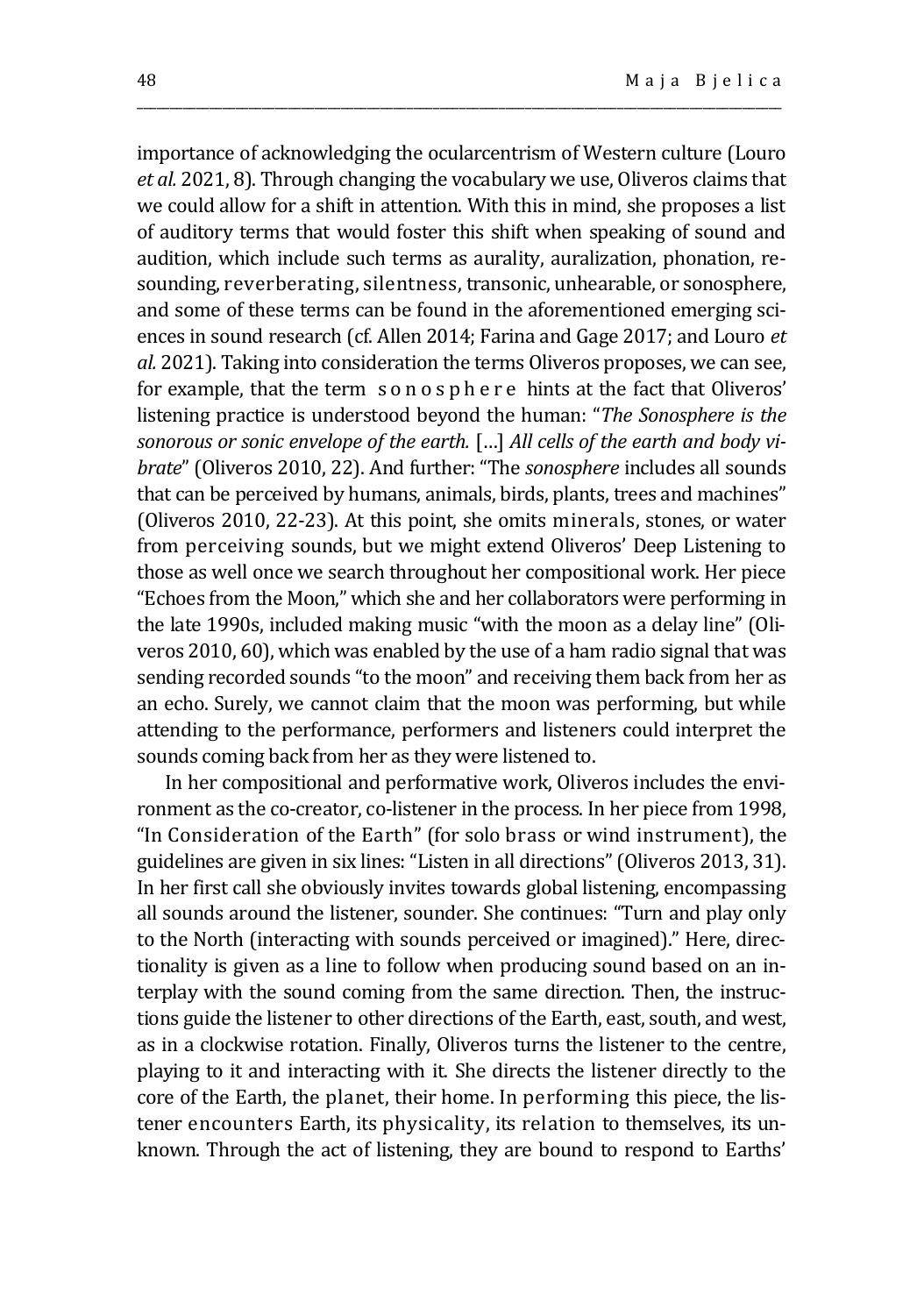importance of acknowledging the ocularcentrism of Western culture (Louro *et al.* 2021, 8). Through changing the vocabulary we use, Oliveros claims that we could allow for a shift in attention. With this in mind, she proposes a list of auditory terms that would foster this shift when speaking of sound and audition, which include such terms as aurality, auralization, phonation, resounding, reverberating, silentness, transonic, unhearable, or sonosphere, and some of these terms can be found in the aforementioned emerging sciences in sound research (cf. Allen 2014; Farina and Gage 2017; and Louro *et al.* 2021). Taking into consideration the terms Oliveros proposes, we can see, for example, that the term s o n o s p h e r e hints at the fact that Oliveros' listening practice is understood beyond the human: "*The Sonosphere is the sonorous or sonic envelope of the earth.* […] *All cells of the earth and body vibrate*" (Oliveros 2010, 22). And further: "The *sonosphere* includes all sounds that can be perceived by humans, animals, birds, plants, trees and machines" (Oliveros 2010, 22-23). At this point, she omits minerals, stones, or water from perceiving sounds, but we might extend Oliveros' Deep Listening to those as well once we search throughout her compositional work. Her piece "Echoes from the Moon," which she and her collaborators were performing in the late 1990s, included making music "with the moon as a delay line" (Oliveros 2010, 60), which was enabled by the use of a ham radio signal that was sending recorded sounds "to the moon" and receiving them back from her as an echo. Surely, we cannot claim that the moon was performing, but while attending to the performance, performers and listeners could interpret the sounds coming back from her as they were listened to.

\_\_\_\_\_\_\_\_\_\_\_\_\_\_\_\_\_\_\_\_\_\_\_\_\_\_\_\_\_\_\_\_\_\_\_\_\_\_\_\_\_\_\_\_\_\_\_\_\_\_\_\_\_\_\_\_\_\_\_\_\_\_\_\_\_\_\_\_\_\_\_\_\_\_\_\_\_\_\_\_\_\_\_\_\_\_\_\_\_\_\_\_\_\_\_\_\_\_

In her compositional and performative work, Oliveros includes the environment as the co-creator, co-listener in the process. In her piece from 1998, "In Consideration of the Earth" (for solo brass or wind instrument), the guidelines are given in six lines: "Listen in all directions" (Oliveros 2013, 31). In her first call she obviously invites towards global listening, encompassing all sounds around the listener, sounder. She continues: "Turn and play only to the North (interacting with sounds perceived or imagined)." Here, directionality is given as a line to follow when producing sound based on an interplay with the sound coming from the same direction. Then, the instructions guide the listener to other directions of the Earth, east, south, and west, as in a clockwise rotation. Finally, Oliveros turns the listener to the centre, playing to it and interacting with it. She directs the listener directly to the core of the Earth, the planet, their home. In performing this piece, the listener encounters Earth, its physicality, its relation to themselves, its unknown. Through the act of listening, they are bound to respond to Earths'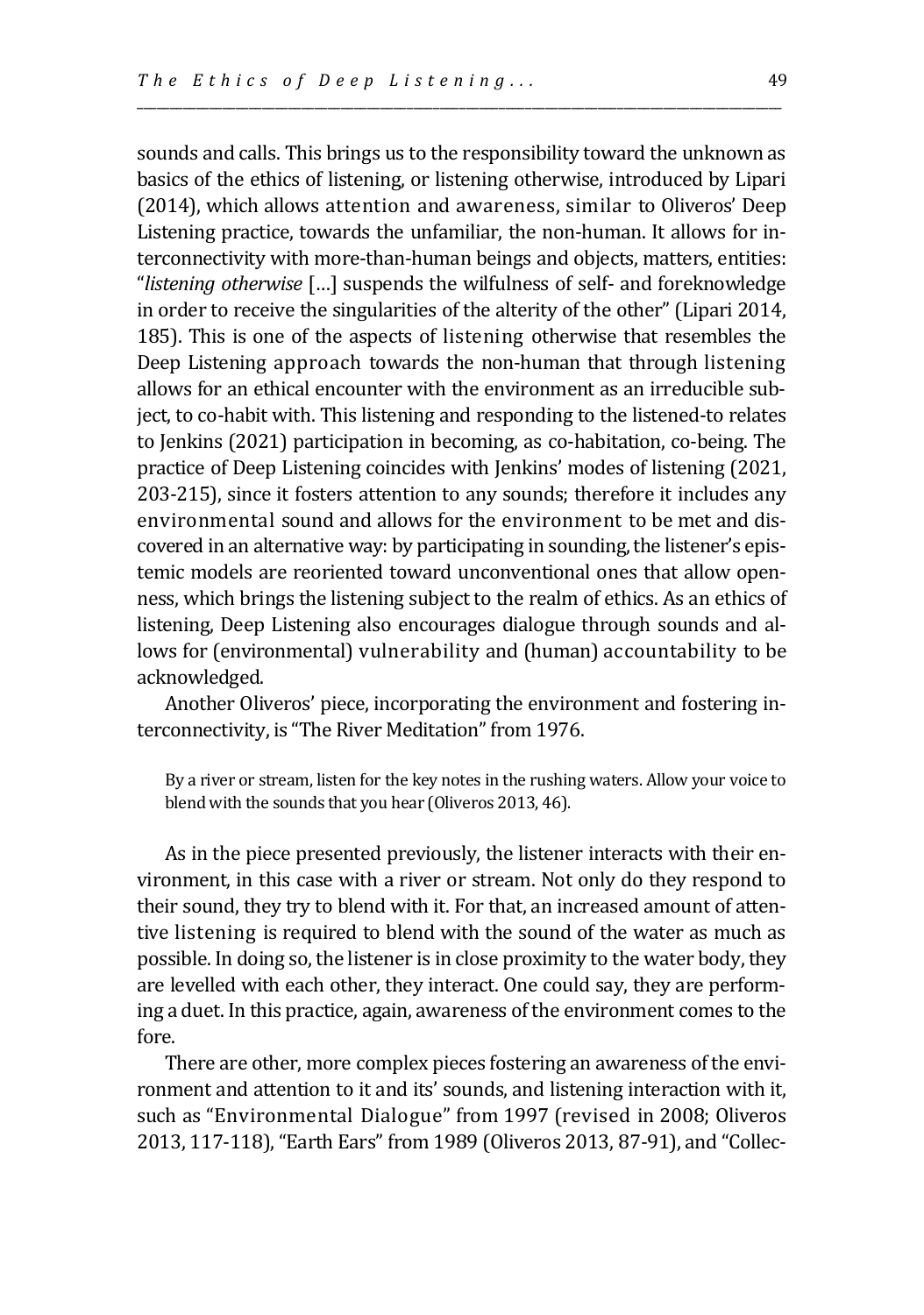sounds and calls. This brings us to the responsibility toward the unknown as basics of the ethics of listening, or listening otherwise, introduced by Lipari (2014), which allows attention and awareness, similar to Oliveros' Deep Listening practice, towards the unfamiliar, the non-human. It allows for interconnectivity with more-than-human beings and objects, matters, entities: "*listening otherwise* […] suspends the wilfulness of self- and foreknowledge in order to receive the singularities of the alterity of the other" (Lipari 2014, 185). This is one of the aspects of listening otherwise that resembles the Deep Listening approach towards the non-human that through listening allows for an ethical encounter with the environment as an irreducible subject, to co-habit with. This listening and responding to the listened-to relates to Jenkins (2021) participation in becoming, as co-habitation, co-being. The practice of Deep Listening coincides with Jenkins' modes of listening (2021, 203-215), since it fosters attention to any sounds; therefore it includes any environmental sound and allows for the environment to be met and discovered in an alternative way: by participating in sounding, the listener's epistemic models are reoriented toward unconventional ones that allow openness, which brings the listening subject to the realm of ethics. As an ethics of listening, Deep Listening also encourages dialogue through sounds and allows for (environmental) vulnerability and (human) accountability to be acknowledged.

\_\_\_\_\_\_\_\_\_\_\_\_\_\_\_\_\_\_\_\_\_\_\_\_\_\_\_\_\_\_\_\_\_\_\_\_\_\_\_\_\_\_\_\_\_\_\_\_\_\_\_\_\_\_\_\_\_\_\_\_\_\_\_\_\_\_\_\_\_\_\_\_\_\_\_\_\_\_\_\_\_\_\_\_\_\_\_\_\_\_\_\_\_\_\_\_\_\_

Another Oliveros' piece, incorporating the environment and fostering interconnectivity, is "The River Meditation" from 1976.

By a river or stream, listen for the key notes in the rushing waters. Allow your voice to blend with the sounds that you hear (Oliveros 2013, 46).

As in the piece presented previously, the listener interacts with their environment, in this case with a river or stream. Not only do they respond to their sound, they try to blend with it. For that, an increased amount of attentive listening is required to blend with the sound of the water as much as possible. In doing so, the listener is in close proximity to the water body, they are levelled with each other, they interact. One could say, they are performing a duet. In this practice, again, awareness of the environment comes to the fore.

There are other, more complex pieces fostering an awareness of the environment and attention to it and its' sounds, and listening interaction with it, such as "Environmental Dialogue" from 1997 (revised in 2008; Oliveros 2013, 117-118), "Earth Ears" from 1989 (Oliveros 2013, 87-91), and "Collec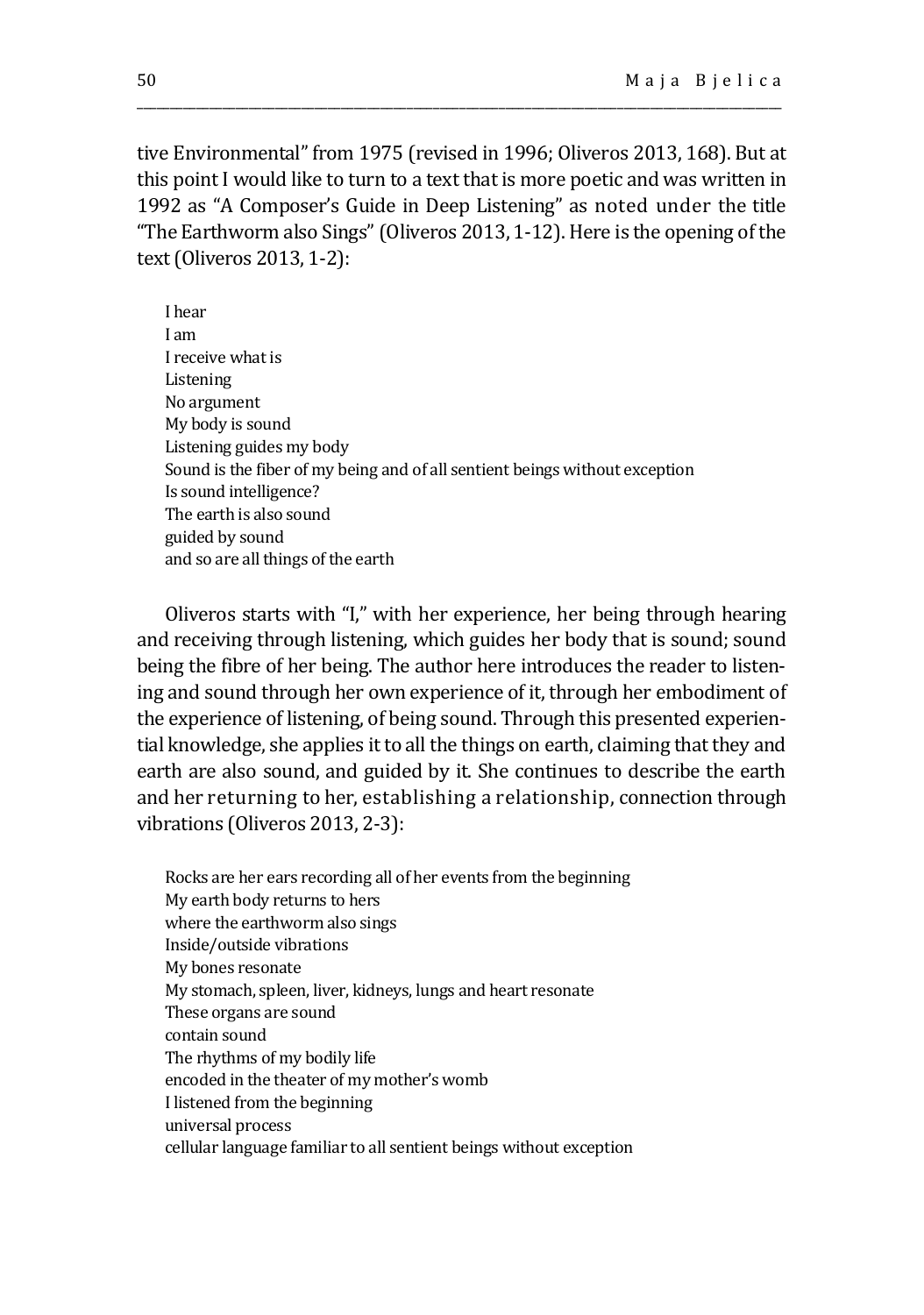tive Environmental" from 1975 (revised in 1996; Oliveros 2013, 168). But at this point I would like to turn to a text that is more poetic and was written in 1992 as "A Composer's Guide in Deep Listening" as noted under the title "The Earthworm also Sings" (Oliveros 2013, 1-12). Here is the opening of the text (Oliveros 2013, 1-2):

\_\_\_\_\_\_\_\_\_\_\_\_\_\_\_\_\_\_\_\_\_\_\_\_\_\_\_\_\_\_\_\_\_\_\_\_\_\_\_\_\_\_\_\_\_\_\_\_\_\_\_\_\_\_\_\_\_\_\_\_\_\_\_\_\_\_\_\_\_\_\_\_\_\_\_\_\_\_\_\_\_\_\_\_\_\_\_\_\_\_\_\_\_\_\_\_\_\_

I hear I am I receive what is Listening No argument My body is sound Listening guides my body Sound is the fiber of my being and of all sentient beings without exception Is sound intelligence? The earth is also sound guided by sound and so are all things of the earth

Oliveros starts with "I," with her experience, her being through hearing and receiving through listening, which guides her body that is sound; sound being the fibre of her being. The author here introduces the reader to listening and sound through her own experience of it, through her embodiment of the experience of listening, of being sound. Through this presented experiential knowledge, she applies it to all the things on earth, claiming that they and earth are also sound, and guided by it. She continues to describe the earth and her returning to her, establishing a relationship, connection through vibrations (Oliveros 2013, 2-3):

Rocks are her ears recording all of her events from the beginning My earth body returns to hers where the earthworm also sings Inside/outside vibrations My bones resonate My stomach, spleen, liver, kidneys, lungs and heart resonate These organs are sound contain sound The rhythms of my bodily life encoded in the theater of my mother's womb I listened from the beginning universal process cellular language familiar to all sentient beings without exception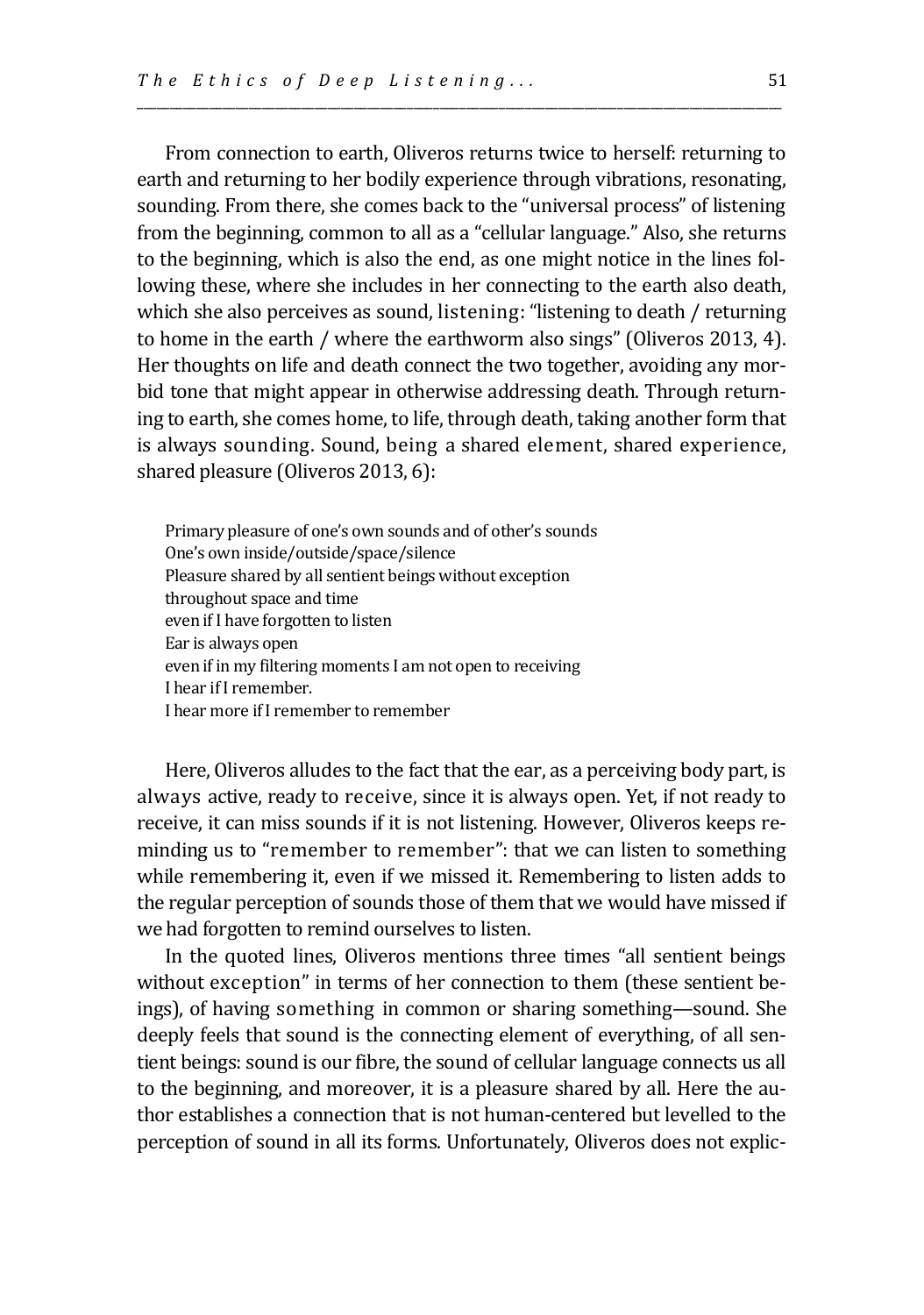From connection to earth, Oliveros returns twice to herself: returning to earth and returning to her bodily experience through vibrations, resonating, sounding. From there, she comes back to the "universal process" of listening from the beginning, common to all as a "cellular language." Also, she returns to the beginning, which is also the end, as one might notice in the lines following these, where she includes in her connecting to the earth also death, which she also perceives as sound, listening: "listening to death / returning to home in the earth / where the earthworm also sings" (Oliveros 2013, 4). Her thoughts on life and death connect the two together, avoiding any morbid tone that might appear in otherwise addressing death. Through returning to earth, she comes home, to life, through death, taking another form that is always sounding. Sound, being a shared element, shared experience, shared pleasure (Oliveros 2013, 6):

\_\_\_\_\_\_\_\_\_\_\_\_\_\_\_\_\_\_\_\_\_\_\_\_\_\_\_\_\_\_\_\_\_\_\_\_\_\_\_\_\_\_\_\_\_\_\_\_\_\_\_\_\_\_\_\_\_\_\_\_\_\_\_\_\_\_\_\_\_\_\_\_\_\_\_\_\_\_\_\_\_\_\_\_\_\_\_\_\_\_\_\_\_\_\_\_\_\_

Primary pleasure of one's own sounds and of other's sounds One's own inside/outside/space/silence Pleasure shared by all sentient beings without exception throughout space and time even if I have forgotten to listen Ear is always open even if in my filtering moments I am not open to receiving I hear if I remember. I hear more if I remember to remember

Here, Oliveros alludes to the fact that the ear, as a perceiving body part, is always active, ready to receive, since it is always open. Yet, if not ready to receive, it can miss sounds if it is not listening. However, Oliveros keeps reminding us to "remember to remember": that we can listen to something while remembering it, even if we missed it. Remembering to listen adds to the regular perception of sounds those of them that we would have missed if we had forgotten to remind ourselves to listen.

In the quoted lines, Oliveros mentions three times "all sentient beings without exception" in terms of her connection to them (these sentient beings), of having something in common or sharing something—sound. She deeply feels that sound is the connecting element of everything, of all sentient beings: sound is our fibre, the sound of cellular language connects us all to the beginning, and moreover, it is a pleasure shared by all. Here the author establishes a connection that is not human-centered but levelled to the perception of sound in all its forms. Unfortunately, Oliveros does not explic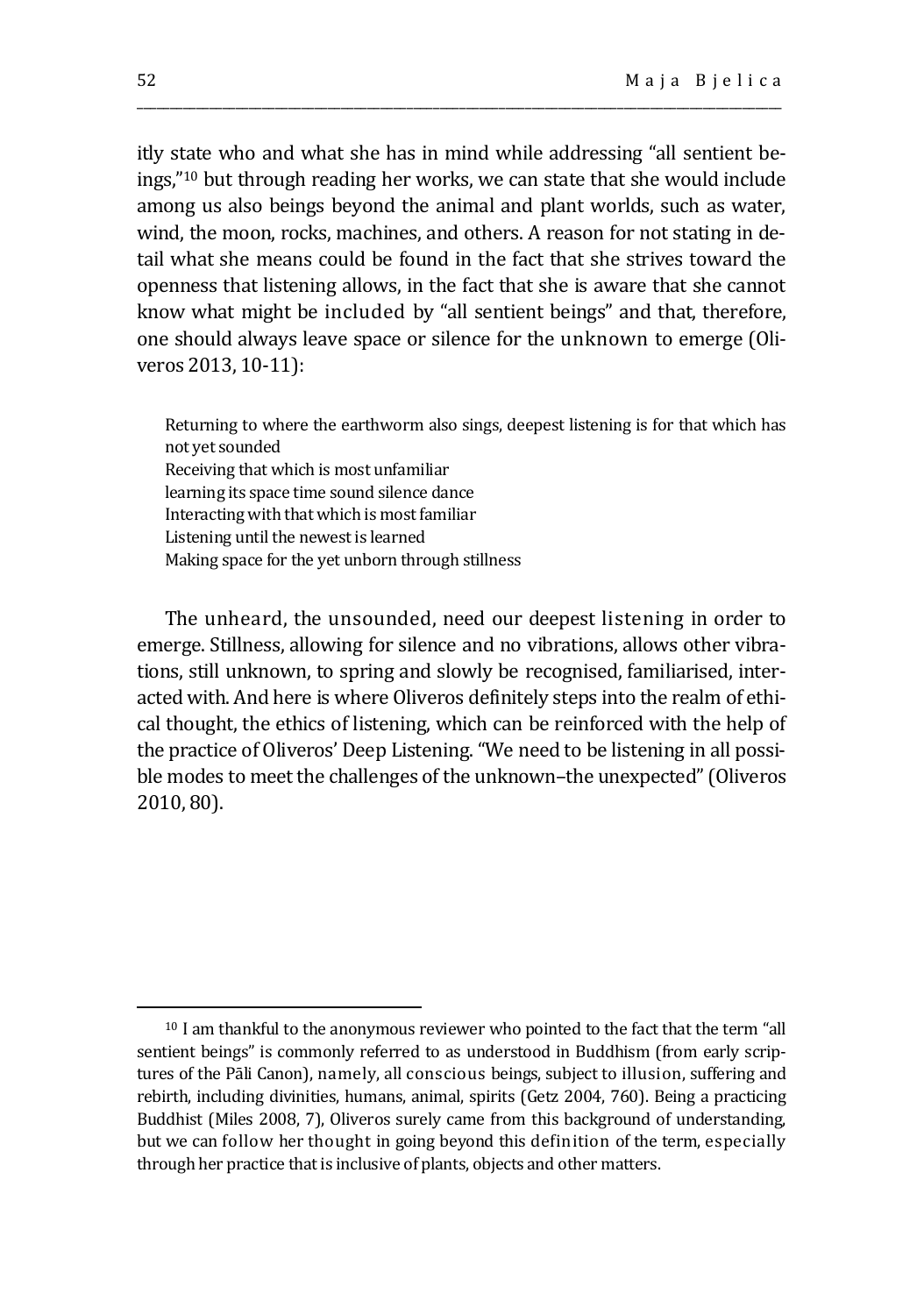itly state who and what she has in mind while addressing "all sentient beings,"<sup>10</sup> but through reading her works, we can state that she would include among us also beings beyond the animal and plant worlds, such as water, wind, the moon, rocks, machines, and others. A reason for not stating in detail what she means could be found in the fact that she strives toward the openness that listening allows, in the fact that she is aware that she cannot know what might be included by "all sentient beings" and that, therefore, one should always leave space or silence for the unknown to emerge (Oliveros 2013, 10-11):

\_\_\_\_\_\_\_\_\_\_\_\_\_\_\_\_\_\_\_\_\_\_\_\_\_\_\_\_\_\_\_\_\_\_\_\_\_\_\_\_\_\_\_\_\_\_\_\_\_\_\_\_\_\_\_\_\_\_\_\_\_\_\_\_\_\_\_\_\_\_\_\_\_\_\_\_\_\_\_\_\_\_\_\_\_\_\_\_\_\_\_\_\_\_\_\_\_\_

Returning to where the earthworm also sings, deepest listening is for that which has not yet sounded

Receiving that which is most unfamiliar learning its space time sound silence dance Interacting with that which is most familiar Listening until the newest is learned Making space for the yet unborn through stillness

The unheard, the unsounded, need our deepest listening in order to emerge. Stillness, allowing for silence and no vibrations, allows other vibrations, still unknown, to spring and slowly be recognised, familiarised, interacted with. And here is where Oliveros definitely steps into the realm of ethical thought, the ethics of listening, which can be reinforced with the help of the practice of Oliveros' Deep Listening. "We need to be listening in all possible modes to meet the challenges of the unknown–the unexpected" (Oliveros 2010, 80).

<sup>10</sup> I am thankful to the anonymous reviewer who pointed to the fact that the term "all sentient beings" is commonly referred to as understood in Buddhism (from early scriptures of the Pāli Canon), namely, all conscious beings, subject to illusion, suffering and rebirth, including divinities, humans, animal, spirits (Getz 2004, 760). Being a practicing Buddhist (Miles 2008, 7), Oliveros surely came from this background of understanding, but we can follow her thought in going beyond this definition of the term, especially through her practice that is inclusive of plants, objects and other matters.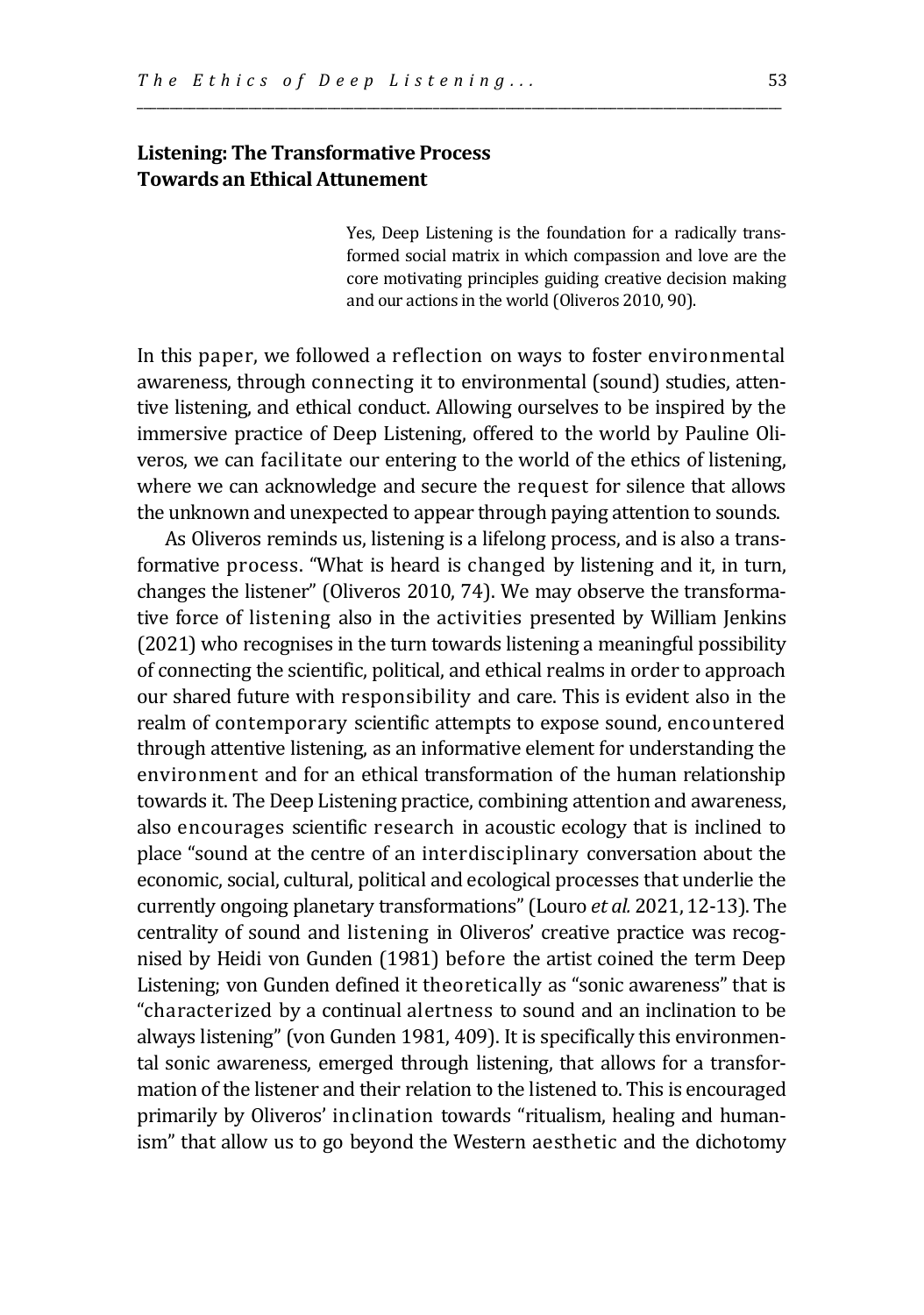## **Listening: The Transformative Process Towards an Ethical Attunement**

Yes, Deep Listening is the foundation for a radically transformed social matrix in which compassion and love are the core motivating principles guiding creative decision making and our actions in the world (Oliveros 2010, 90).

In this paper, we followed a reflection on ways to foster environmental awareness, through connecting it to environmental (sound) studies, attentive listening, and ethical conduct. Allowing ourselves to be inspired by the immersive practice of Deep Listening, offered to the world by Pauline Oliveros, we can facilitate our entering to the world of the ethics of listening, where we can acknowledge and secure the request for silence that allows the unknown and unexpected to appear through paying attention to sounds.

\_\_\_\_\_\_\_\_\_\_\_\_\_\_\_\_\_\_\_\_\_\_\_\_\_\_\_\_\_\_\_\_\_\_\_\_\_\_\_\_\_\_\_\_\_\_\_\_\_\_\_\_\_\_\_\_\_\_\_\_\_\_\_\_\_\_\_\_\_\_\_\_\_\_\_\_\_\_\_\_\_\_\_\_\_\_\_\_\_\_\_\_\_\_\_\_\_\_

As Oliveros reminds us, listening is a lifelong process, and is also a transformative process. "What is heard is changed by listening and it, in turn, changes the listener" (Oliveros 2010, 74). We may observe the transformative force of listening also in the activities presented by William Jenkins (2021) who recognises in the turn towards listening a meaningful possibility of connecting the scientific, political, and ethical realms in order to approach our shared future with responsibility and care. This is evident also in the realm of contemporary scientific attempts to expose sound, encountered through attentive listening, as an informative element for understanding the environment and for an ethical transformation of the human relationship towards it. The Deep Listening practice, combining attention and awareness, also encourages scientific research in acoustic ecology that is inclined to place "sound at the centre of an interdisciplinary conversation about the economic, social, cultural, political and ecological processes that underlie the currently ongoing planetary transformations" (Louro *et al.* 2021, 12-13). The centrality of sound and listening in Oliveros' creative practice was recognised by Heidi von Gunden (1981) before the artist coined the term Deep Listening; von Gunden defined it theoretically as "sonic awareness" that is "characterized by a continual alertness to sound and an inclination to be always listening" (von Gunden 1981, 409). It is specifically this environmental sonic awareness, emerged through listening, that allows for a transformation of the listener and their relation to the listened to. This is encouraged primarily by Oliveros' inclination towards "ritualism, healing and humanism" that allow us to go beyond the Western aesthetic and the dichotomy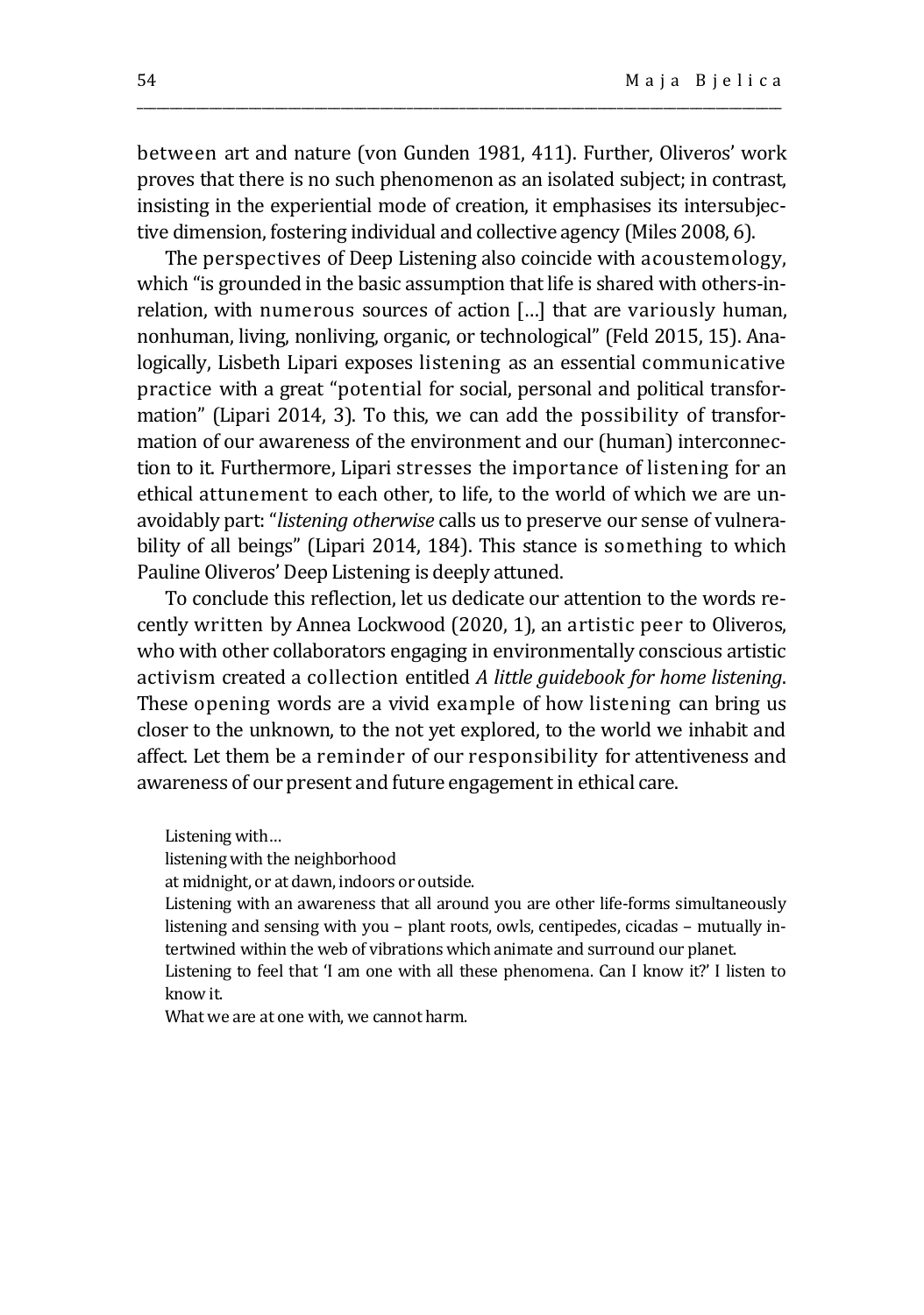between art and nature (von Gunden 1981, 411). Further, Oliveros' work proves that there is no such phenomenon as an isolated subject; in contrast, insisting in the experiential mode of creation, it emphasises its intersubjective dimension, fostering individual and collective agency (Miles 2008, 6).

\_\_\_\_\_\_\_\_\_\_\_\_\_\_\_\_\_\_\_\_\_\_\_\_\_\_\_\_\_\_\_\_\_\_\_\_\_\_\_\_\_\_\_\_\_\_\_\_\_\_\_\_\_\_\_\_\_\_\_\_\_\_\_\_\_\_\_\_\_\_\_\_\_\_\_\_\_\_\_\_\_\_\_\_\_\_\_\_\_\_\_\_\_\_\_\_\_\_

The perspectives of Deep Listening also coincide with acoustemology, which "is grounded in the basic assumption that life is shared with others-inrelation, with numerous sources of action […] that are variously human, nonhuman, living, nonliving, organic, or technological" (Feld 2015, 15). Analogically, Lisbeth Lipari exposes listening as an essential communicative practice with a great "potential for social, personal and political transformation" (Lipari 2014, 3). To this, we can add the possibility of transformation of our awareness of the environment and our (human) interconnection to it. Furthermore, Lipari stresses the importance of listening for an ethical attunement to each other, to life, to the world of which we are unavoidably part: "*listening otherwise* calls us to preserve our sense of vulnerability of all beings" (Lipari 2014, 184). This stance is something to which Pauline Oliveros' Deep Listening is deeply attuned.

To conclude this reflection, let us dedicate our attention to the words recently written by Annea Lockwood (2020, 1), an artistic peer to Oliveros, who with other collaborators engaging in environmentally conscious artistic activism created a collection entitled *A little guidebook for home listening*. These opening words are a vivid example of how listening can bring us closer to the unknown, to the not yet explored, to the world we inhabit and affect. Let them be a reminder of our responsibility for attentiveness and awareness of our present and future engagement in ethical care.

Listening with…

listening with the neighborhood

at midnight, or at dawn, indoors or outside.

Listening with an awareness that all around you are other life-forms simultaneously listening and sensing with you – plant roots, owls, centipedes, cicadas – mutually intertwined within the web of vibrations which animate and surround our planet.

Listening to feel that 'I am one with all these phenomena. Can I know it?' I listen to know it.

What we are at one with, we cannot harm.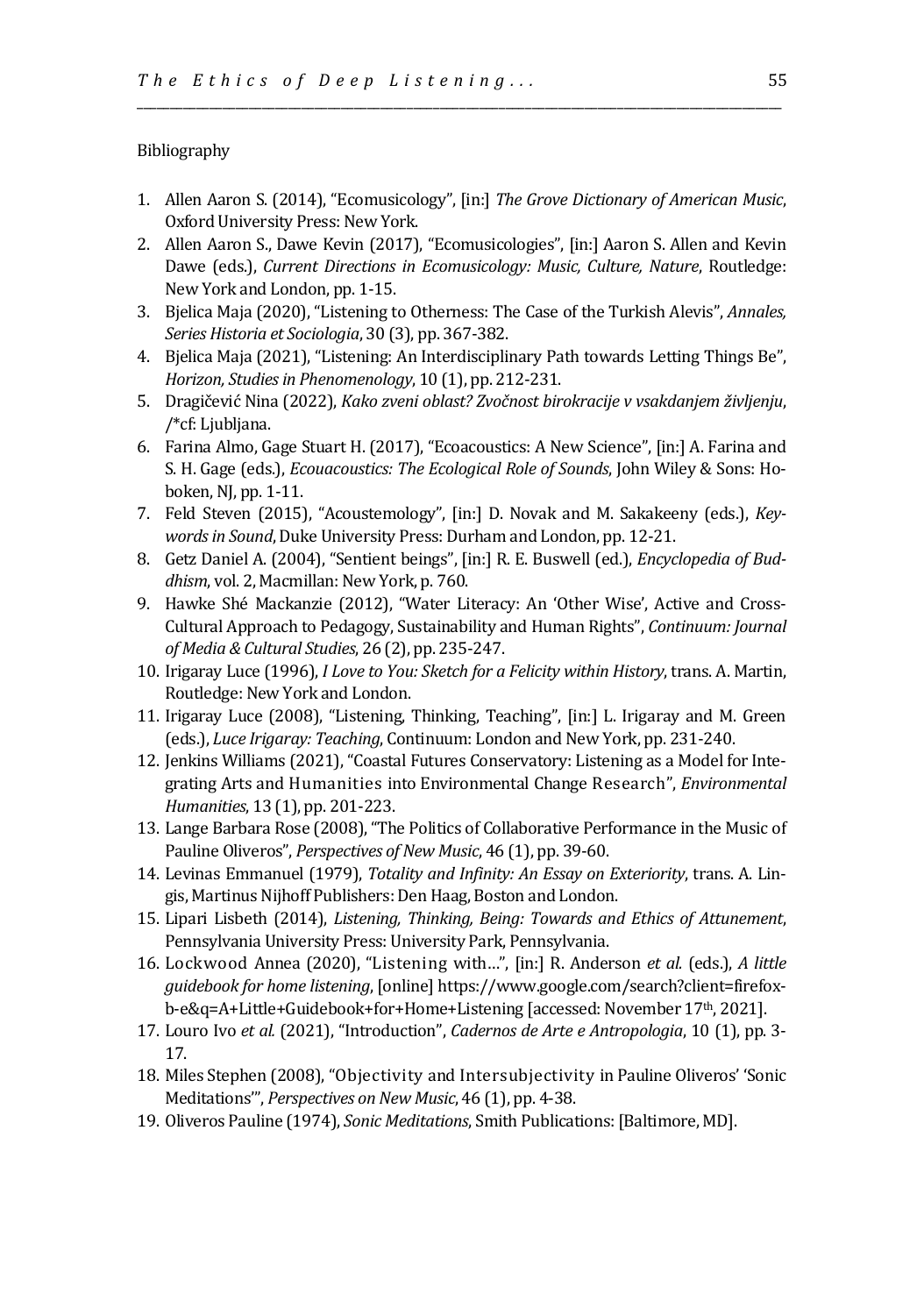#### Bibliography

1. Allen Aaron S. (2014), "Ecomusicology", [in:] *The Grove Dictionary of American Music*, Oxford University Press: New York.

\_\_\_\_\_\_\_\_\_\_\_\_\_\_\_\_\_\_\_\_\_\_\_\_\_\_\_\_\_\_\_\_\_\_\_\_\_\_\_\_\_\_\_\_\_\_\_\_\_\_\_\_\_\_\_\_\_\_\_\_\_\_\_\_\_\_\_\_\_\_\_\_\_\_\_\_\_\_\_\_\_\_\_\_\_\_\_\_\_\_\_\_\_\_\_\_\_\_

- 2. Allen Aaron S., Dawe Kevin (2017), "Ecomusicologies", [in:] Aaron S. Allen and Kevin Dawe (eds.), *Current Directions in Ecomusicology: Music, Culture, Nature*, Routledge: New York and London, pp. 1-15.
- 3. Bjelica Maja (2020), "Listening to Otherness: The Case of the Turkish Alevis", *Annales, Series Historia et Sociologia*, 30 (3), pp. 367-382.
- 4. Bjelica Maja (2021), "Listening: An Interdisciplinary Path towards Letting Things Be", *Horizon, Studies in Phenomenology*, 10 (1), pp. 212-231.
- 5. Dragičević Nina (2022), *Kako zveni oblast? Zvočnost birokracije v vsakdanjem življenju*, /\*cf: Ljubljana.
- 6. Farina Almo, Gage Stuart H. (2017), "Ecoacoustics: A New Science", [in:] A. Farina and S. H. Gage (eds.), *Ecouacoustics: The Ecological Role of Sounds*, John Wiley & Sons: Hoboken, NJ, pp. 1-11.
- 7. Feld Steven (2015), "Acoustemology", [in:] D. Novak and M. Sakakeeny (eds.), *Keywords in Sound*, Duke University Press: Durham and London, pp. 12-21.
- 8. Getz Daniel A. (2004), "Sentient beings", [in:] R. E. Buswell (ed.), *Encyclopedia of Buddhism*, vol. 2, Macmillan: New York, p. 760.
- 9. Hawke Shé Mackanzie (2012), "Water Literacy: An 'Other Wise', Active and Cross-Cultural Approach to Pedagogy, Sustainability and Human Rights", *Continuum: Journal of Media & Cultural Studies*, 26 (2), pp. 235-247.
- 10. Irigaray Luce (1996), *I Love to You: Sketch for a Felicity within History*, trans. A. Martin, Routledge: New York and London.
- 11. Irigaray Luce (2008), "Listening, Thinking, Teaching", [in:] L. Irigaray and M. Green (eds.), *Luce Irigaray: Teaching*, Continuum: London and New York, pp. 231-240.
- 12. Jenkins Williams (2021), "Coastal Futures Conservatory: Listening as a Model for Integrating Arts and Humanities into Environmental Change Research", *Environmental Humanities*, 13 (1), pp. 201-223.
- 13. Lange Barbara Rose (2008), "The Politics of Collaborative Performance in the Music of Pauline Oliveros", *Perspectives of New Music*, 46 (1), pp. 39-60.
- 14. Levinas Emmanuel (1979), *Totality and Infinity: An Essay on Exteriority*, trans. A. Lingis, Martinus Nijhoff Publishers: Den Haag, Boston and London.
- 15. Lipari Lisbeth (2014), *Listening, Thinking, Being: Towards and Ethics of Attunement*, Pennsylvania University Press: University Park, Pennsylvania.
- 16. Lockwood Annea (2020), "Listening with…", [in:] R. Anderson *et al.* (eds.), *A little guidebook for home listening*, [online] https://www.google.com/search?client=firefoxb-e&q=A+Little+Guidebook+for+Home+Listening [accessed: November 17<sup>th</sup>, 2021].
- 17. Louro Ivo *et al.* (2021), "Introduction", *Cadernos de Arte e Antropologia*, 10 (1), pp. 3- 17.
- 18. Miles Stephen (2008), "Objectivity and Intersubjectivity in Pauline Oliveros' 'Sonic Meditations'", *Perspectives on New Music*, 46 (1), pp. 4-38.
- 19. Oliveros Pauline (1974), *Sonic Meditations*, Smith Publications: [Baltimore, MD].